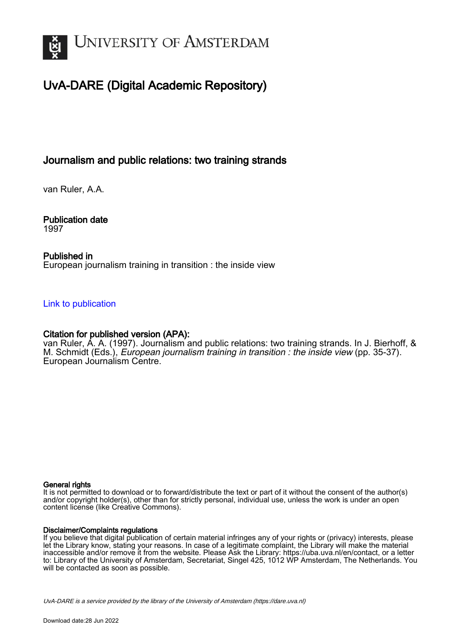

# UvA-DARE (Digital Academic Repository)

# Journalism and public relations: two training strands

van Ruler, A.A.

Publication date 1997

### Published in European journalism training in transition : the inside view

### [Link to publication](https://dare.uva.nl/personal/pure/en/publications/journalism-and-public-relations-two-training-strands(7f0833c9-66ff-46c0-87b8-91a86e6c5064).html)

### Citation for published version (APA):

van Ruler, A. A. (1997). Journalism and public relations: two training strands. In J. Bierhoff, & M. Schmidt (Eds.), European journalism training in transition : the inside view (pp. 35-37). European Journalism Centre.

#### General rights

It is not permitted to download or to forward/distribute the text or part of it without the consent of the author(s) and/or copyright holder(s), other than for strictly personal, individual use, unless the work is under an open content license (like Creative Commons).

#### Disclaimer/Complaints regulations

If you believe that digital publication of certain material infringes any of your rights or (privacy) interests, please let the Library know, stating your reasons. In case of a legitimate complaint, the Library will make the material inaccessible and/or remove it from the website. Please Ask the Library: https://uba.uva.nl/en/contact, or a letter to: Library of the University of Amsterdam, Secretariat, Singel 425, 1012 WP Amsterdam, The Netherlands. You will be contacted as soon as possible.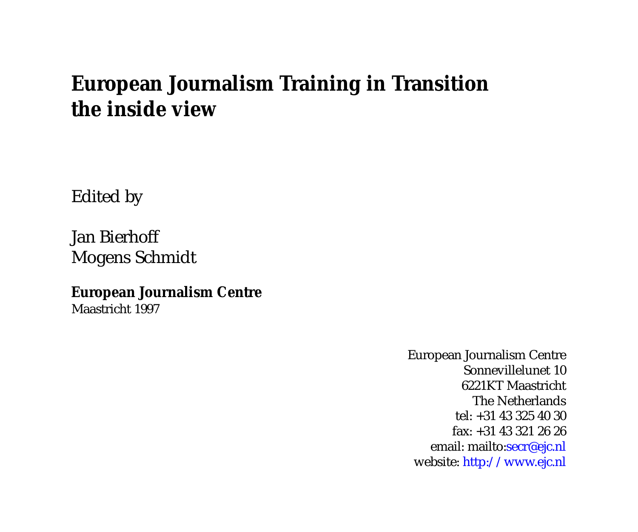# **European Journalism Training in Transition the inside view**

Edited by

Jan Bierhoff Mogens Schmidt

**European Journalism Centre**

Maastricht 1997

European Journalism Centre Sonnevillelunet 10 6221KT Maastricht The Netherlands tel: +31 43 325 40 30 fax: +31 43 321 26 26 email:<mailto:secr@ejc.nl> website: <http://www.ejc.nl>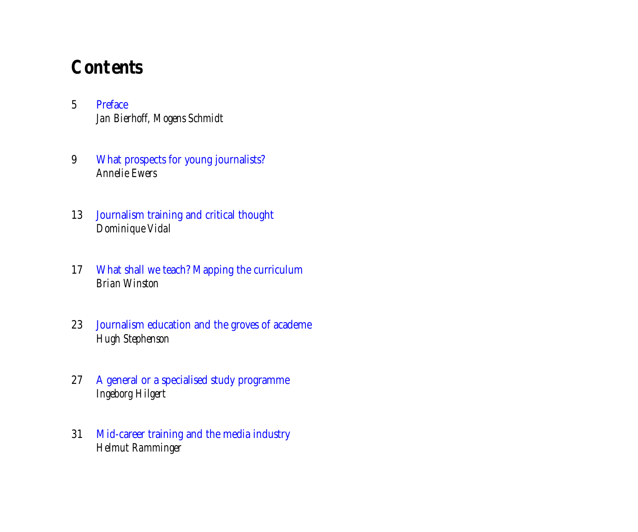# **Contents**

- 5 Preface *[Jan Bierhoff, Mogens Schmidt](#page-4-0)*
- 9 [What prospects for young journalists?](#page-8-0) *Annelie Ewers*
- 13 [Journalism training and critical thought](#page-12-0) *Dominique Vidal*
- 17 [What shall we teach? Mapping the curriculum](#page-16-0) *Brian Winston*
- 23 [Journalism education and the groves of academe](#page-22-0) *Hugh Stephenson*
- 27 [A general or a specialised study programme](#page-26-0) *Ingeborg Hilgert*
- 31 [Mid-career training and the media industry](#page-30-0) *Helmut Ramminger*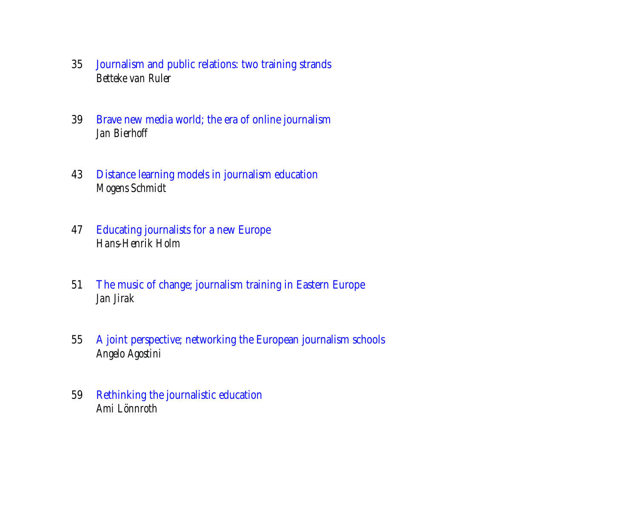- 35 [Journalism and public relations: two training strands](#page-34-0) *Betteke van Ruler*
- 39 [Brave new media world; the era of online journalism](#page-38-0) *Jan Bierhoff*
- 43 [Distance learning models in journalism education](#page-42-0) *Mogens Schmidt*
- 47 [Educating journalists for a new Europe](#page-46-0) *Hans-Henrik Holm*
- 51 [The music of change; journalism training in Eastern Europe](#page-50-0) *Jan Jirak*
- 55 [A joint perspective; networking the European journalism schools](#page-54-0) *Angelo Agostini*
- 59 [Rethinking the journalistic education](#page-58-0) *Ami Lönnroth*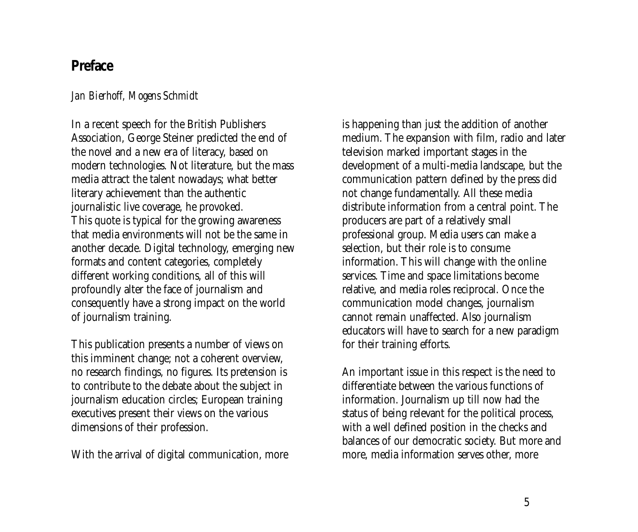## <span id="page-4-0"></span>**Preface**

### *Jan Bierhoff, Mogens Schmidt*

In a recent speech for the British Publishers Association, George Steiner predicted the end of the novel and a new era of literacy, based on modern technologies. Not literature, but the mass media attract the talent nowadays; what better literary achievement than the authentic journalistic live coverage, he provoked. This quote is typical for the growing awareness that media environments will not be the same in another decade. Digital technology, emerging new formats and content categories, completely different working conditions, all of this will profoundly alter the face of journalism and consequently have a strong impact on the world of journalism training.

This publication presents a number of views on this imminent change; not a coherent overview, no research findings, no figures. Its pretension is to contribute to the debate about the subject in journalism education circles; European training executives present their views on the various dimensions of their profession.

With the arrival of digital communication, more

is happening than just the addition of another medium. The expansion with film, radio and later television marked important stages in the development of a multi-media landscape, but the communication pattern defined by the press did not change fundamentally. All these media distribute information from a central point. The producers are part of a relatively small professional group. Media users can make a selection, but their role is to consume information. This will change with the online services. Time and space limitations become relative, and media roles reciprocal. Once the communication model changes, journalism cannot remain unaffected. Also journalism educators will have to search for a new paradigm for their training efforts.

An important issue in this respect is the need to differentiate between the various functions of information. Journalism up till now had the status of being relevant for the political process, with a well defined position in the checks and balances of our democratic society. But more and more, media information serves other, more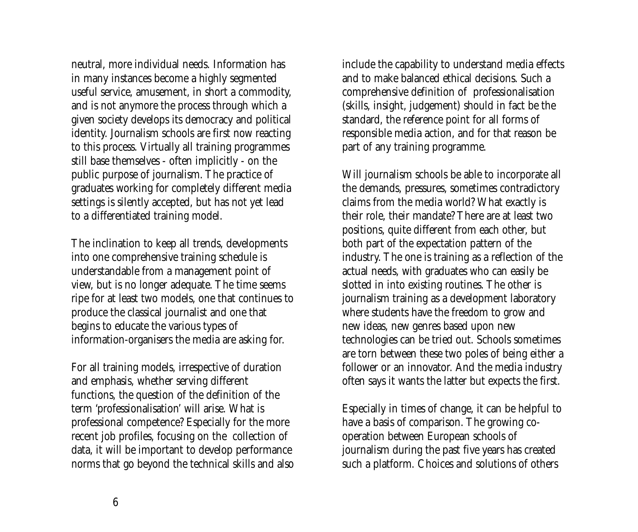neutral, more individual needs. Information has in many instances become a highly segmented useful service, amusement, in short a commodity, and is not anymore the process through which a given society develops its democracy and political identity. Journalism schools are first now reacting to this process. Virtually all training programmes still base themselves - often implicitly - on the public purpose of journalism. The practice of graduates working for completely different media settings is silently accepted, but has not yet lead to a differentiated training model.

The inclination to keep all trends, developments into one comprehensive training schedule is understandable from a management point of view, but is no longer adequate. The time seems ripe for at least two models, one that continues to produce the classical journalist and one that begins to educate the various types of information-organisers the media are asking for.

For all training models, irrespective of duration and emphasis, whether serving different functions, the question of the definition of the term 'professionalisation' will arise. What is professional competence? Especially for the more recent job profiles, focusing on the collection of data, it will be important to develop performance norms that go beyond the technical skills and also include the capability to understand media effects and to make balanced ethical decisions. Such a comprehensive definition of professionalisation (skills, insight, judgement) should in fact be the standard, the reference point for all forms of responsible media action, and for that reason be part of any training programme.

Will journalism schools be able to incorporate all the demands, pressures, sometimes contradictory claims from the media world? What exactly is their role, their mandate? There are at least two positions, quite different from each other, but both part of the expectation pattern of the industry. The one is training as a reflection of the actual needs, with graduates who can easily be slotted in into existing routines. The other is journalism training as a development laboratory where students have the freedom to grow and new ideas, new genres based upon new technologies can be tried out. Schools sometimes are torn between these two poles of being either a follower or an innovator. And the media industry often says it wants the latter but expects the first.

Especially in times of change, it can be helpful to have a basis of comparison. The growing cooperation between European schools of journalism during the past five years has created such a platform. Choices and solutions of others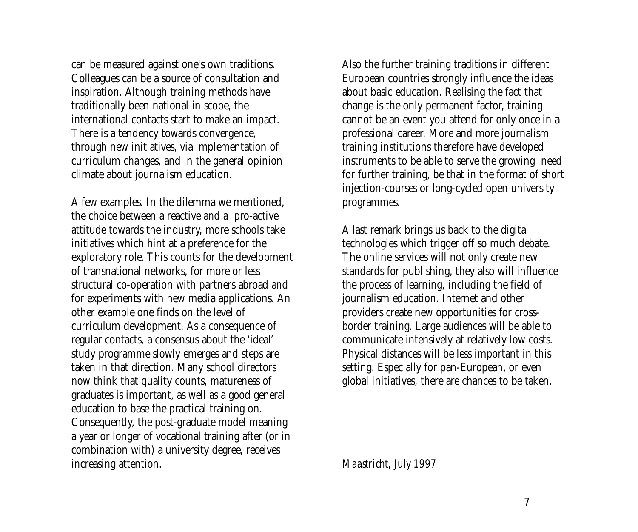can be measured against one's own traditions. Colleagues can be a source of consultation and inspiration. Although training methods have traditionally been national in scope, the international contacts start to make an impact. There is a tendency towards convergence, through new initiatives, via implementation of curriculum changes, and in the general opinion climate about journalism education.

A few examples. In the dilemma we mentioned, the choice between a reactive and a pro-active attitude towards the industry, more schools take initiatives which hint at a preference for the exploratory role. This counts for the development of transnational networks, for more or less structural co-operation with partners abroad and for experiments with new media applications. An other example one finds on the level of curriculum development. As a consequence of regular contacts, a consensus about the 'ideal' study programme slowly emerges and steps are taken in that direction. Many school directors now think that quality counts, matureness of graduates is important, as well as a good general education to base the practical training on. Consequently, the post-graduate model meaning a year or longer of vocational training after (or in combination with) a university degree, receives increasing attention.

Also the further training traditions in different European countries strongly influence the ideas about basic education. Realising the fact that change is the only permanent factor, training cannot be an event you attend for only once in a professional career. More and more journalism training institutions therefore have developed instruments to be able to serve the growing need for further training, be that in the format of short injection-courses or long-cycled open university programmes.

A last remark brings us back to the digital technologies which trigger off so much debate. The online services will not only create new standards for publishing, they also will influence the process of learning, including the field of journalism education. Internet and other providers create new opportunities for crossborder training. Large audiences will be able to communicate intensively at relatively low costs. Physical distances will be less important in this setting. Especially for pan-European, or even global initiatives, there are chances to be taken.

#### *Maastricht, July 1997*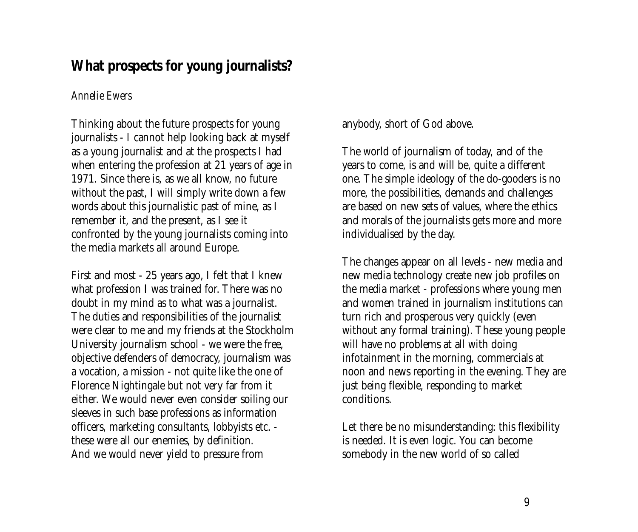# <span id="page-8-0"></span>**What prospects for young journalists?**

### *Annelie Ewers*

Thinking about the future prospects for young journalists - I cannot help looking back at myself as a young journalist and at the prospects I had when entering the profession at 21 years of age in 1971. Since there is, as we all know, no future without the past, I will simply write down a few words about this journalistic past of mine, as I remember it, and the present, as I see it confronted by the young journalists coming into the media markets all around Europe.

First and most - 25 years ago, I felt that I knew what profession I was trained for. There was no doubt in my mind as to what was a journalist. The duties and responsibilities of the journalist were clear to me and my friends at the Stockholm University journalism school - we were the free, objective defenders of democracy, journalism was a vocation, a mission - not quite like the one of Florence Nightingale but not very far from it either. We would never even consider soiling our sleeves in such base professions as information officers, marketing consultants, lobbyists etc. these were all our enemies, by definition. And we would never yield to pressure from

anybody, short of God above.

The world of journalism of today, and of the years to come, is and will be, quite a different one. The simple ideology of the do-gooders is no more, the possibilities, demands and challenges are based on new sets of values, where the ethics and morals of the journalists gets more and more individualised by the day.

The changes appear on all levels - new media and new media technology create new job profiles on the media market - professions where young men and women trained in journalism institutions can turn rich and prosperous very quickly (even without any formal training). These young people will have no problems at all with doing infotainment in the morning, commercials at noon and news reporting in the evening. They are just being flexible, responding to market conditions.

Let there be no misunderstanding: this flexibility is needed. It is even logic. You can become somebody in the new world of so called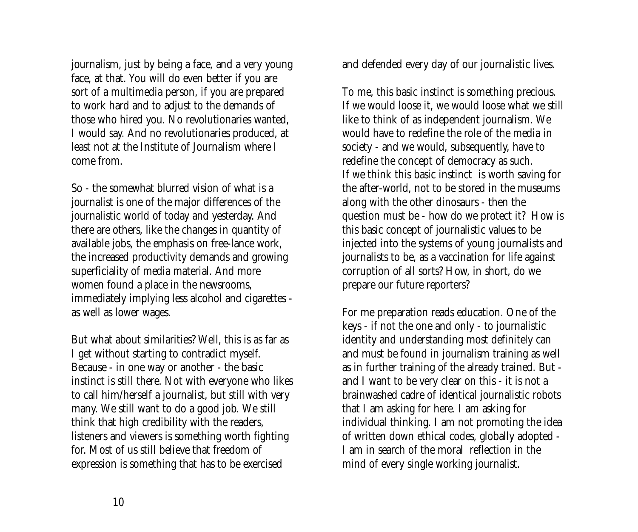journalism, just by being a face, and a very young face, at that. You will do even better if you are sort of a multimedia person, if you are prepared to work hard and to adjust to the demands of those who hired you. No revolutionaries wanted, I would say. And no revolutionaries produced, at least not at the Institute of Journalism where I come from.

So - the somewhat blurred vision of what is a journalist is one of the major differences of the journalistic world of today and yesterday. And there are others, like the changes in quantity of available jobs, the emphasis on free-lance work, the increased productivity demands and growing superficiality of media material. And more women found a place in the newsrooms, immediately implying less alcohol and cigarettes as well as lower wages.

But what about similarities? Well, this is as far as I get without starting to contradict myself. Because - in one way or another - the basic instinct is still there. Not with everyone who likes to call him/herself a journalist, but still with very many. We still want to do a good job. We still think that high credibility with the readers, listeners and viewers is something worth fighting for. Most of us still believe that freedom of expression is something that has to be exercised

and defended every day of our journalistic lives.

To me, this basic instinct is something precious. If we would loose it, we would loose what we still like to think of as independent journalism. We would have to redefine the role of the media in society - and we would, subsequently, have to redefine the concept of democracy as such. If we think this basic instinct is worth saving for the after-world, not to be stored in the museums along with the other dinosaurs - then the question must be - how do we protect it? How is this basic concept of journalistic values to be injected into the systems of young journalists and journalists to be, as a vaccination for life against corruption of all sorts? How, in short, do we prepare our future reporters?

For me preparation reads education. One of the keys - if not the one and only - to journalistic identity and understanding most definitely can and must be found in journalism training as well as in further training of the already trained. But and I want to be very clear on this - it is not a brainwashed cadre of identical journalistic robots that I am asking for here. I am asking for individual thinking. I am not promoting the idea of written down ethical codes, globally adopted - I am in search of the moral reflection in the mind of every single working journalist.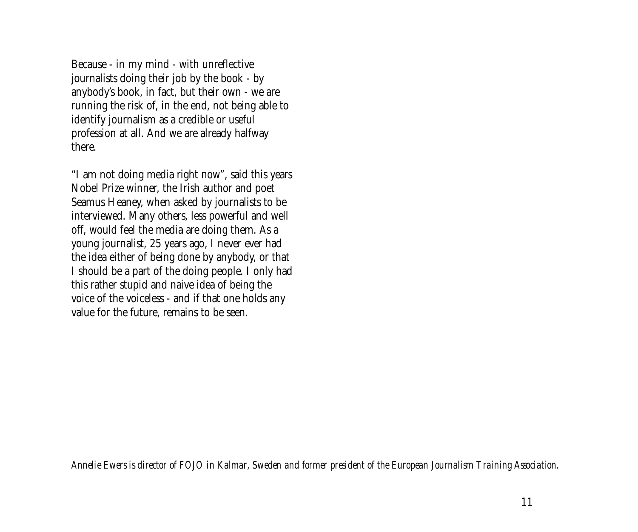Because - in my mind - with unreflective journalists doing their job by the book - by anybody's book, in fact, but their own - we are running the risk of, in the end, not being able to identify journalism as a credible or useful profession at all. And we are already halfway there.

"I am not doing media right now", said this years Nobel Prize winner, the Irish author and poet Seamus Heaney, when asked by journalists to be interviewed. Many others, less powerful and well off, would feel the media are doing them. As a young journalist, 25 years ago, I never ever had the idea either of being done by anybody, or that I should be a part of the doing people. I only had this rather stupid and naive idea of being the voice of the voiceless - and if that one holds any value for the future, remains to be seen.

*Annelie Ewers is director of FOJO in Kalmar, Sweden and former president of the European Journalism Training Association.*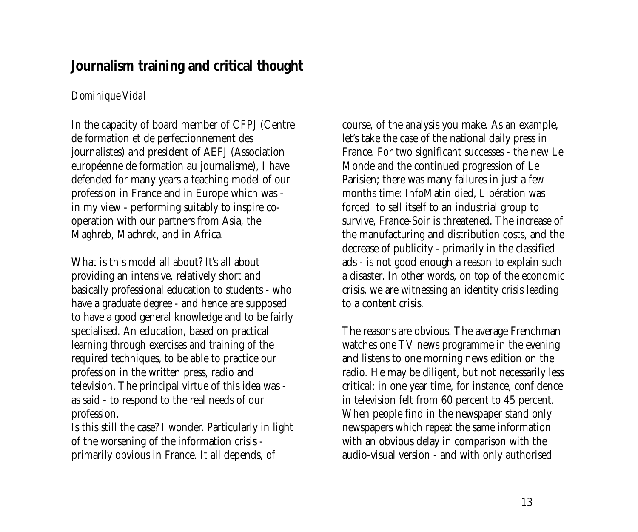# <span id="page-12-0"></span>**Journalism training and critical thought**

### *Dominique Vidal*

In the capacity of board member of CFPJ (Centre de formation et de perfectionnement des journalistes) and president of AEFJ (Association européenne de formation au journalisme), I have defended for many years a teaching model of our profession in France and in Europe which was in my view - performing suitably to inspire cooperation with our partners from Asia, the Maghreb, Machrek, and in Africa.

What is this model all about? It's all about providing an intensive, relatively short and basically professional education to students - who have a graduate degree - and hence are supposed to have a good general knowledge and to be fairly specialised. An education, based on practical learning through exercises and training of the required techniques, to be able to practice our profession in the written press, radio and television. The principal virtue of this idea was as said - to respond to the real needs of our profession.

Is this still the case? I wonder. Particularly in light of the worsening of the information crisis primarily obvious in France. It all depends, of

course, of the analysis you make. As an example, let's take the case of the national daily press in France. For two significant successes - the new Le Monde and the continued progression of Le Parisien; there was many failures in just a few months time: InfoMatin died, Libération was forced to sell itself to an industrial group to survive, France-Soir is threatened. The increase of the manufacturing and distribution costs, and the decrease of publicity - primarily in the classified ads - is not good enough a reason to explain such a disaster. In other words, on top of the economic crisis, we are witnessing an identity crisis leading to a content crisis.

The reasons are obvious. The average Frenchman watches one TV news programme in the evening and listens to one morning news edition on the radio. He may be diligent, but not necessarily less critical: in one year time, for instance, confidence in television felt from 60 percent to 45 percent. When people find in the newspaper stand only newspapers which repeat the same information with an obvious delay in comparison with the audio-visual version - and with only authorised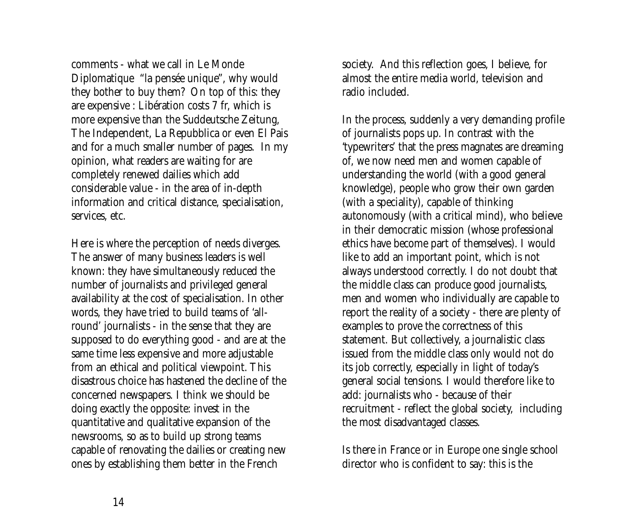comments - what we call in Le Monde Diplomatique "la pensée unique", why would they bother to buy them? On top of this: they are expensive : Libération costs 7 fr, which is more expensive than the Suddeutsche Zeitung, The Independent, La Repubblica or even El Pais and for a much smaller number of pages. In my opinion, what readers are waiting for are completely renewed dailies which add considerable value - in the area of in-depth information and critical distance, specialisation, services, etc.

Here is where the perception of needs diverges. The answer of many business leaders is well known: they have simultaneously reduced the number of journalists and privileged general availability at the cost of specialisation. In other words, they have tried to build teams of 'allround' journalists - in the sense that they are supposed to do everything good - and are at the same time less expensive and more adjustable from an ethical and political viewpoint. This disastrous choice has hastened the decline of the concerned newspapers. I think we should be doing exactly the opposite: invest in the quantitative and qualitative expansion of the newsrooms, so as to build up strong teams capable of renovating the dailies or creating new ones by establishing them better in the French

society. And this reflection goes, I believe, for almost the entire media world, television and radio included.

In the process, suddenly a very demanding profile of journalists pops up. In contrast with the 'typewriters' that the press magnates are dreaming of, we now need men and women capable of understanding the world (with a good general knowledge), people who grow their own garden (with a speciality), capable of thinking autonomously (with a critical mind), who believe in their democratic mission (whose professional ethics have become part of themselves). I would like to add an important point, which is not always understood correctly. I do not doubt that the middle class can produce good journalists, men and women who individually are capable to report the reality of a society - there are plenty of examples to prove the correctness of this statement. But collectively, a journalistic class issued from the middle class only would not do its job correctly, especially in light of today's general social tensions. I would therefore like to add: journalists who - because of their recruitment - reflect the global society, including the most disadvantaged classes.

Is there in France or in Europe one single school director who is confident to say: this is the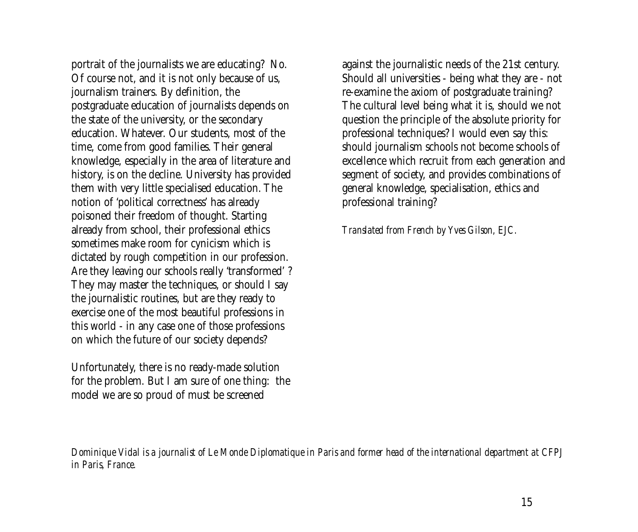portrait of the journalists we are educating? No. Of course not, and it is not only because of us, journalism trainers. By definition, the postgraduate education of journalists depends on the state of the university, or the secondary education. Whatever. Our students, most of the time, come from good families. Their general knowledge, especially in the area of literature and history, is on the decline. University has provided them with very little specialised education. The notion of 'political correctness' has already poisoned their freedom of thought. Starting already from school, their professional ethics sometimes make room for cynicism which is dictated by rough competition in our profession. Are they leaving our schools really 'transformed' ? They may master the techniques, or should I say the journalistic routines, but are they ready to exercise one of the most beautiful professions in this world - in any case one of those professions on which the future of our society depends?

Unfortunately, there is no ready-made solution for the problem. But I am sure of one thing: the model we are so proud of must be screened

against the journalistic needs of the 21st century. Should all universities - being what they are - not re-examine the axiom of postgraduate training? The cultural level being what it is, should we not question the principle of the absolute priority for professional techniques? I would even say this: should journalism schools not become schools of excellence which recruit from each generation and segment of society, and provides combinations of general knowledge, specialisation, ethics and professional training?

*Translated from French by Yves Gilson, EJC.*

*Dominique Vidal is a journalist of Le Monde Diplomatique in Paris and former head of the international department at CFPJ in Paris, France.*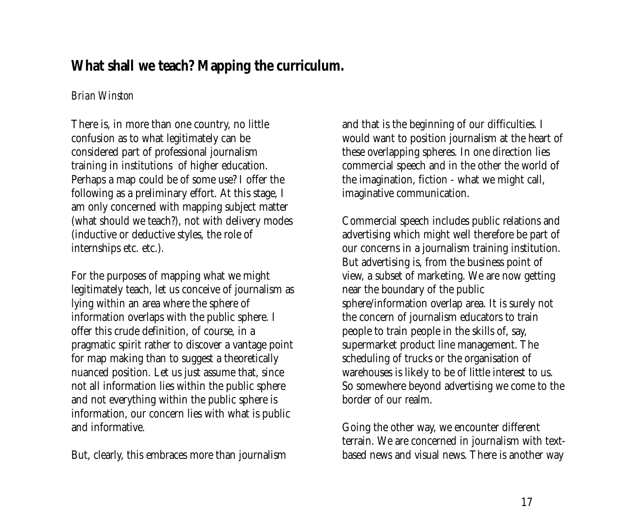# <span id="page-16-0"></span>**What shall we teach? Mapping the curriculum.**

### *Brian Winston*

There is, in more than one country, no little confusion as to what legitimately can be considered part of professional journalism training in institutions of higher education. Perhaps a map could be of some use? I offer the following as a preliminary effort. At this stage, I am only concerned with mapping subject matter (what should we teach?), not with delivery modes (inductive or deductive styles, the role of internships etc. etc.).

For the purposes of mapping what we might legitimately teach, let us conceive of journalism as lying within an area where the sphere of information overlaps with the public sphere. I offer this crude definition, of course, in a pragmatic spirit rather to discover a vantage point for map making than to suggest a theoretically nuanced position. Let us just assume that, since not all information lies within the public sphere and not everything within the public sphere is information, our concern lies with what is public and informative.

But, clearly, this embraces more than journalism

and that is the beginning of our difficulties. I would want to position journalism at the heart of these overlapping spheres. In one direction lies commercial speech and in the other the world of the imagination, fiction - what we might call, imaginative communication.

Commercial speech includes public relations and advertising which might well therefore be part of our concerns in a journalism training institution. But advertising is, from the business point of view, a subset of marketing. We are now getting near the boundary of the public sphere/information overlap area. It is surely not the concern of journalism educators to train people to train people in the skills of, say, supermarket product line management. The scheduling of trucks or the organisation of warehouses is likely to be of little interest to us. So somewhere beyond advertising we come to the border of our realm.

Going the other way, we encounter different terrain. We are concerned in journalism with textbased news and visual news. There is another way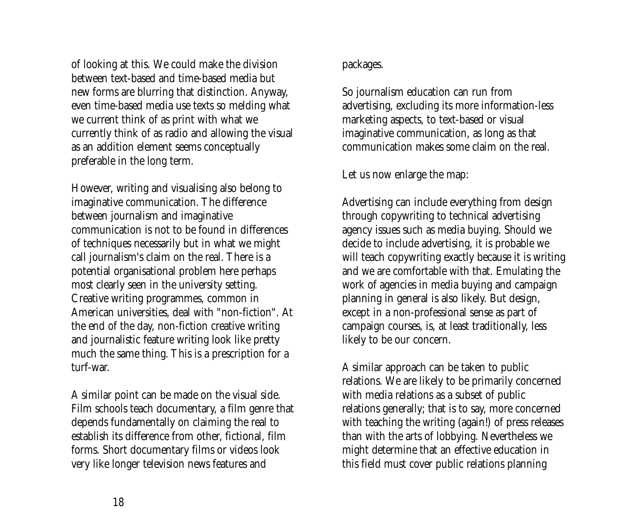of looking at this. We could make the division between text-based and time-based media but new forms are blurring that distinction. Anyway, even time-based media use texts so melding what we current think of as print with what we currently think of as radio and allowing the visual as an addition element seems conceptually preferable in the long term.

However, writing and visualising also belong to imaginative communication. The difference between journalism and imaginative communication is not to be found in differences of techniques necessarily but in what we might call journalism's claim on the real. There is a potential organisational problem here perhaps most clearly seen in the university setting. Creative writing programmes, common in American universities, deal with "non-fiction". At the end of the day, non-fiction creative writing and journalistic feature writing look like pretty much the same thing. This is a prescription for a turf-war.

A similar point can be made on the visual side. Film schools teach documentary, a film genre that depends fundamentally on claiming the real to establish its difference from other, fictional, film forms. Short documentary films or videos look very like longer television news features and

### packages.

So journalism education can run from advertising, excluding its more information-less marketing aspects, to text-based or visual imaginative communication, as long as that communication makes some claim on the real.

Let us now enlarge the map:

Advertising can include everything from design through copywriting to technical advertising agency issues such as media buying. Should we decide to include advertising, it is probable we will teach copywriting exactly because it is writing and we are comfortable with that. Emulating the work of agencies in media buying and campaign planning in general is also likely. But design, except in a non-professional sense as part of campaign courses, is, at least traditionally, less likely to be our concern.

A similar approach can be taken to public relations. We are likely to be primarily concerned with media relations as a subset of public relations generally; that is to say, more concerned with teaching the writing (again!) of press releases than with the arts of lobbying. Nevertheless we might determine that an effective education in this field must cover public relations planning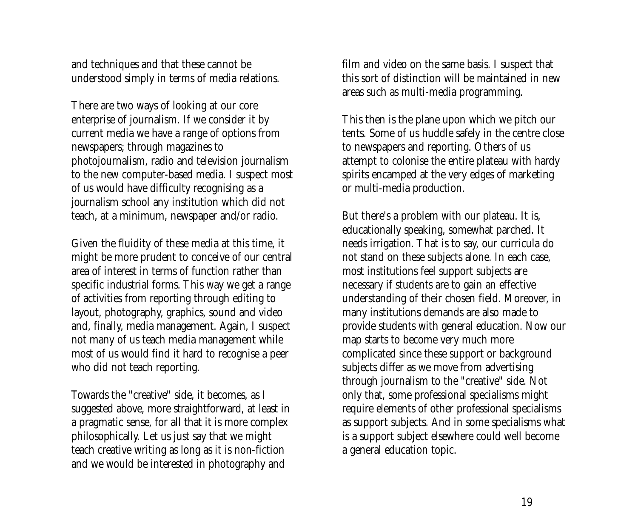and techniques and that these cannot be understood simply in terms of media relations.

There are two ways of looking at our core enterprise of journalism. If we consider it by current media we have a range of options from newspapers; through magazines to photojournalism, radio and television journalism to the new computer-based media. I suspect most of us would have difficulty recognising as a journalism school any institution which did not teach, at a minimum, newspaper and/or radio.

Given the fluidity of these media at this time, it might be more prudent to conceive of our central area of interest in terms of function rather than specific industrial forms. This way we get a range of activities from reporting through editing to layout, photography, graphics, sound and video and, finally, media management. Again, I suspect not many of us teach media management while most of us would find it hard to recognise a peer who did not teach reporting.

Towards the "creative" side, it becomes, as I suggested above, more straightforward, at least in a pragmatic sense, for all that it is more complex philosophically. Let us just say that we might teach creative writing as long as it is non-fiction and we would be interested in photography and

film and video on the same basis. I suspect that this sort of distinction will be maintained in new areas such as multi-media programming.

This then is the plane upon which we pitch our tents. Some of us huddle safely in the centre close to newspapers and reporting. Others of us attempt to colonise the entire plateau with hardy spirits encamped at the very edges of marketing or multi-media production.

But there's a problem with our plateau. It is, educationally speaking, somewhat parched. It needs irrigation. That is to say, our curricula do not stand on these subjects alone. In each case, most institutions feel support subjects are necessary if students are to gain an effective understanding of their chosen field. Moreover, in many institutions demands are also made to provide students with general education. Now our map starts to become very much more complicated since these support or background subjects differ as we move from advertising through journalism to the "creative" side. Not only that, some professional specialisms might require elements of other professional specialisms as support subjects. And in some specialisms what is a support subject elsewhere could well become a general education topic.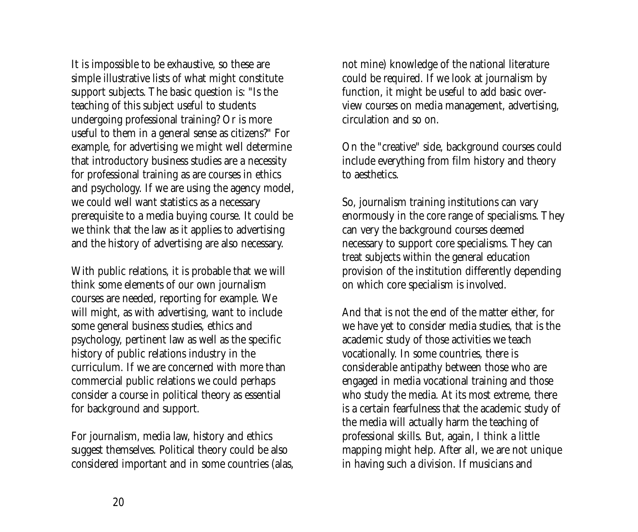It is impossible to be exhaustive, so these are simple illustrative lists of what might constitute support subjects. The basic question is: "Is the teaching of this subject useful to students undergoing professional training? Or is more useful to them in a general sense as citizens?" For example, for advertising we might well determine that introductory business studies are a necessity for professional training as are courses in ethics and psychology. If we are using the agency model, we could well want statistics as a necessary prerequisite to a media buying course. It could be we think that the law as it applies to advertising and the history of advertising are also necessary.

With public relations, it is probable that we will think some elements of our own journalism courses are needed, reporting for example. We will might, as with advertising, want to include some general business studies, ethics and psychology, pertinent law as well as the specific history of public relations industry in the curriculum. If we are concerned with more than commercial public relations we could perhaps consider a course in political theory as essential for background and support.

For journalism, media law, history and ethics suggest themselves. Political theory could be also considered important and in some countries (alas, not mine) knowledge of the national literature could be required. If we look at journalism by function, it might be useful to add basic overview courses on media management, advertising, circulation and so on.

On the "creative" side, background courses could include everything from film history and theory to aesthetics.

So, journalism training institutions can vary enormously in the core range of specialisms. They can very the background courses deemed necessary to support core specialisms. They can treat subjects within the general education provision of the institution differently depending on which core specialism is involved.

And that is not the end of the matter either, for we have yet to consider media studies, that is the academic study of those activities we teach vocationally. In some countries, there is considerable antipathy between those who are engaged in media vocational training and those who study the media. At its most extreme, there is a certain fearfulness that the academic study of the media will actually harm the teaching of professional skills. But, again, I think a little mapping might help. After all, we are not unique in having such a division. If musicians and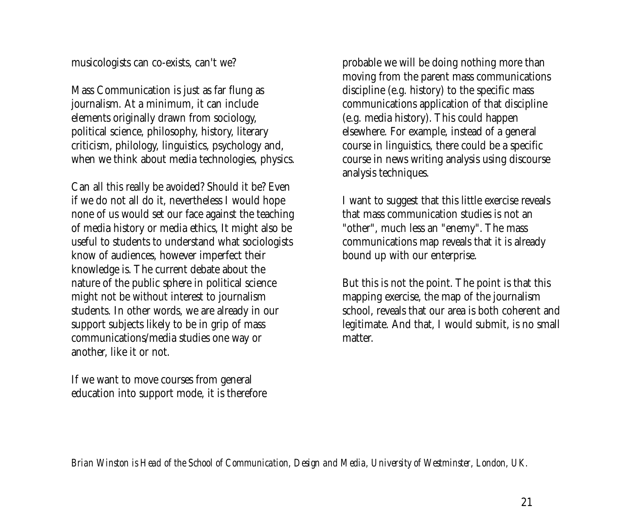musicologists can co-exists, can't we?

Mass Communication is just as far flung as journalism. At a minimum, it can include elements originally drawn from sociology, political science, philosophy, history, literary criticism, philology, linguistics, psychology and, when we think about media technologies, physics.

Can all this really be avoided? Should it be? Even if we do not all do it, nevertheless I would hope none of us would set our face against the teaching of media history or media ethics, It might also be useful to students to understand what sociologists know of audiences, however imperfect their knowledge is. The current debate about the nature of the public sphere in political science might not be without interest to journalism students. In other words, we are already in our support subjects likely to be in grip of mass communications/media studies one way or another, like it or not.

If we want to move courses from general education into support mode, it is therefore probable we will be doing nothing more than moving from the parent mass communications discipline (e.g. history) to the specific mass communications application of that discipline (e.g. media history). This could happen elsewhere. For example, instead of a general course in linguistics, there could be a specific course in news writing analysis using discourse analysis techniques.

I want to suggest that this little exercise reveals that mass communication studies is not an "other", much less an "enemy". The mass communications map reveals that it is already bound up with our enterprise.

But this is not the point. The point is that this mapping exercise, the map of the journalism school, reveals that our area is both coherent and legitimate. And that, I would submit, is no small matter.

*Brian Winston is Head of the School of Communication, Design and Media, University of Westminster, London, UK.*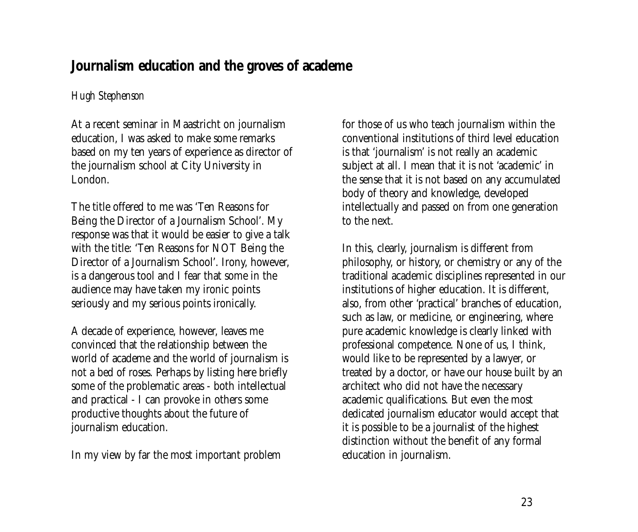# <span id="page-22-0"></span>**Journalism education and the groves of academe**

### *Hugh Stephenson*

At a recent seminar in Maastricht on journalism education, I was asked to make some remarks based on my ten years of experience as director of the journalism school at City University in London.

The title offered to me was 'Ten Reasons for Being the Director of a Journalism School'. My response was that it would be easier to give a talk with the title: 'Ten Reasons for NOT Being the Director of a Journalism School'. Irony, however, is a dangerous tool and I fear that some in the audience may have taken my ironic points seriously and my serious points ironically.

A decade of experience, however, leaves me convinced that the relationship between the world of academe and the world of journalism is not a bed of roses. Perhaps by listing here briefly some of the problematic areas - both intellectual and practical - I can provoke in others some productive thoughts about the future of journalism education.

In my view by far the most important problem

for those of us who teach journalism within the conventional institutions of third level education is that 'journalism' is not really an academic subject at all. I mean that it is not 'academic' in the sense that it is not based on any accumulated body of theory and knowledge, developed intellectually and passed on from one generation to the next.

In this, clearly, journalism is different from philosophy, or history, or chemistry or any of the traditional academic disciplines represented in our institutions of higher education. It is different, also, from other 'practical' branches of education, such as law, or medicine, or engineering, where pure academic knowledge is clearly linked with professional competence. None of us, I think, would like to be represented by a lawyer, or treated by a doctor, or have our house built by an architect who did not have the necessary academic qualifications. But even the most dedicated journalism educator would accept that it is possible to be a journalist of the highest distinction without the benefit of any formal education in journalism.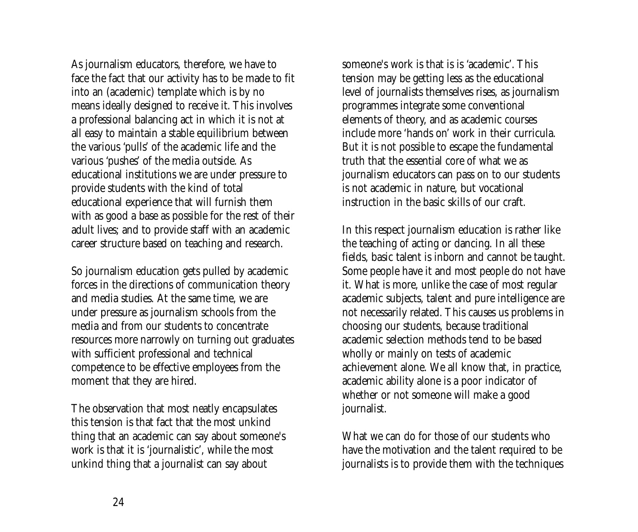As journalism educators, therefore, we have to face the fact that our activity has to be made to fit into an (academic) template which is by no means ideally designed to receive it. This involves a professional balancing act in which it is not at all easy to maintain a stable equilibrium between the various 'pulls' of the academic life and the various 'pushes' of the media outside. As educational institutions we are under pressure to provide students with the kind of total educational experience that will furnish them with as good a base as possible for the rest of their adult lives; and to provide staff with an academic career structure based on teaching and research.

So journalism education gets pulled by academic forces in the directions of communication theory and media studies. At the same time, we are under pressure as journalism schools from the media and from our students to concentrate resources more narrowly on turning out graduates with sufficient professional and technical competence to be effective employees from the moment that they are hired.

The observation that most neatly encapsulates this tension is that fact that the most unkind thing that an academic can say about someone's work is that it is 'journalistic', while the most unkind thing that a journalist can say about

someone's work is that is is 'academic'. This tension may be getting less as the educational level of journalists themselves rises, as journalism programmes integrate some conventional elements of theory, and as academic courses include more 'hands on' work in their curricula. But it is not possible to escape the fundamental truth that the essential core of what we as journalism educators can pass on to our students is not academic in nature, but vocational instruction in the basic skills of our craft.

In this respect journalism education is rather like the teaching of acting or dancing. In all these fields, basic talent is inborn and cannot be taught. Some people have it and most people do not have it. What is more, unlike the case of most regular academic subjects, talent and pure intelligence are not necessarily related. This causes us problems in choosing our students, because traditional academic selection methods tend to be based wholly or mainly on tests of academic achievement alone. We all know that, in practice, academic ability alone is a poor indicator of whether or not someone will make a good journalist.

What we can do for those of our students who have the motivation and the talent required to be journalists is to provide them with the techniques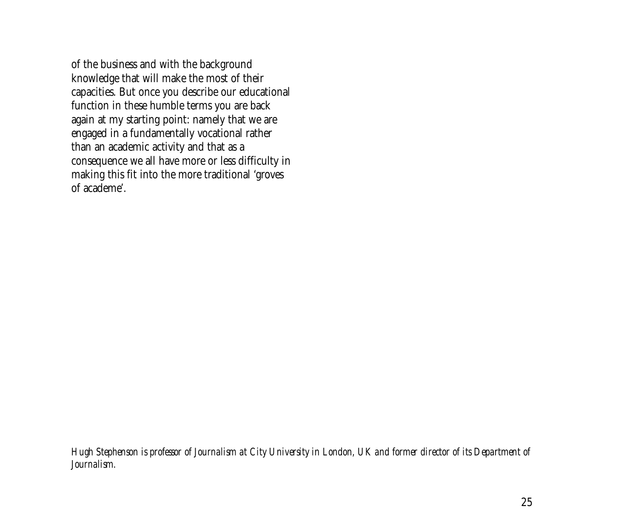of the business and with the background knowledge that will make the most of their capacities. But once you describe our educational function in these humble terms you are back again at my starting point: namely that we are engaged in a fundamentally vocational rather than an academic activity and that as a consequence we all have more or less difficulty in making this fit into the more traditional 'groves of academe'.

*Hugh Stephenson is professor of Journalism at City University in London, UK and former director of its Department of Journalism.*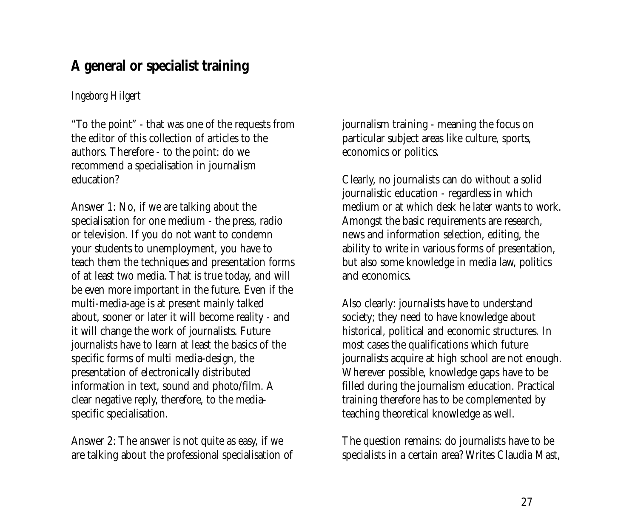# <span id="page-26-0"></span>**A general or specialist training**

### *Ingeborg Hilgert*

"To the point" - that was one of the requests from the editor of this collection of articles to the authors. Therefore - to the point: do we recommend a specialisation in journalism education?

Answer 1: No, if we are talking about the specialisation for one medium - the press, radio or television. If you do not want to condemn your students to unemployment, you have to teach them the techniques and presentation forms of at least two media. That is true today, and will be even more important in the future. Even if the multi-media-age is at present mainly talked about, sooner or later it will become reality - and it will change the work of journalists. Future journalists have to learn at least the basics of the specific forms of multi media-design, the presentation of electronically distributed information in text, sound and photo/film. A clear negative reply, therefore, to the mediaspecific specialisation.

Answer 2: The answer is not quite as easy, if we are talking about the professional specialisation of journalism training - meaning the focus on particular subject areas like culture, sports, economics or politics.

Clearly, no journalists can do without a solid journalistic education - regardless in which medium or at which desk he later wants to work. Amongst the basic requirements are research, news and information selection, editing, the ability to write in various forms of presentation, but also some knowledge in media law, politics and economics.

Also clearly: journalists have to understand society; they need to have knowledge about historical, political and economic structures. In most cases the qualifications which future journalists acquire at high school are not enough. Wherever possible, knowledge gaps have to be filled during the journalism education. Practical training therefore has to be complemented by teaching theoretical knowledge as well.

The question remains: do journalists have to be specialists in a certain area? Writes Claudia Mast,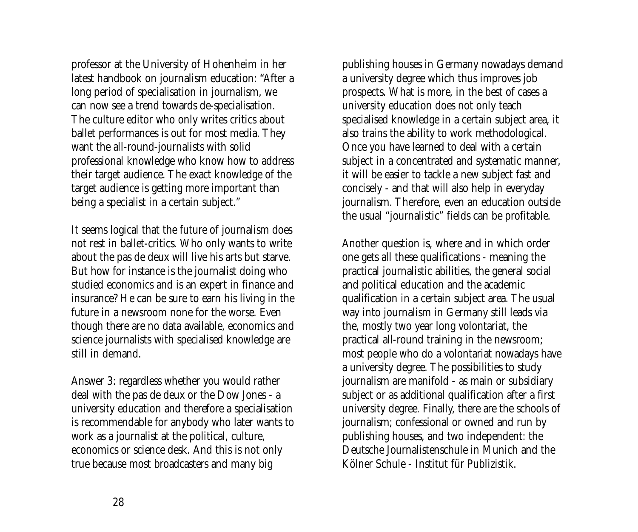professor at the University of Hohenheim in her latest handbook on journalism education: "After a long period of specialisation in journalism, we can now see a trend towards de-specialisation. The culture editor who only writes critics about ballet performances is out for most media. They want the all-round-journalists with solid professional knowledge who know how to address their target audience. The exact knowledge of the target audience is getting more important than being a specialist in a certain subject."

It seems logical that the future of journalism does not rest in ballet-critics. Who only wants to write about the pas de deux will live his arts but starve. But how for instance is the journalist doing who studied economics and is an expert in finance and insurance? He can be sure to earn his living in the future in a newsroom none for the worse. Even though there are no data available, economics and science journalists with specialised knowledge are still in demand.

Answer 3: regardless whether you would rather deal with the pas de deux or the Dow Jones - a university education and therefore a specialisation is recommendable for anybody who later wants to work as a journalist at the political, culture, economics or science desk. And this is not only true because most broadcasters and many big

publishing houses in Germany nowadays demand a university degree which thus improves job prospects. What is more, in the best of cases a university education does not only teach specialised knowledge in a certain subject area, it also trains the ability to work methodological. Once you have learned to deal with a certain subject in a concentrated and systematic manner, it will be easier to tackle a new subject fast and concisely - and that will also help in everyday journalism. Therefore, even an education outside the usual "journalistic" fields can be profitable.

Another question is, where and in which order one gets all these qualifications - meaning the practical journalistic abilities, the general social and political education and the academic qualification in a certain subject area. The usual way into journalism in Germany still leads via the, mostly two year long volontariat, the practical all-round training in the newsroom; most people who do a volontariat nowadays have a university degree. The possibilities to study journalism are manifold - as main or subsidiary subject or as additional qualification after a first university degree. Finally, there are the schools of journalism; confessional or owned and run by publishing houses, and two independent: the Deutsche Journalistenschule in Munich and the Kölner Schule - Institut für Publizistik.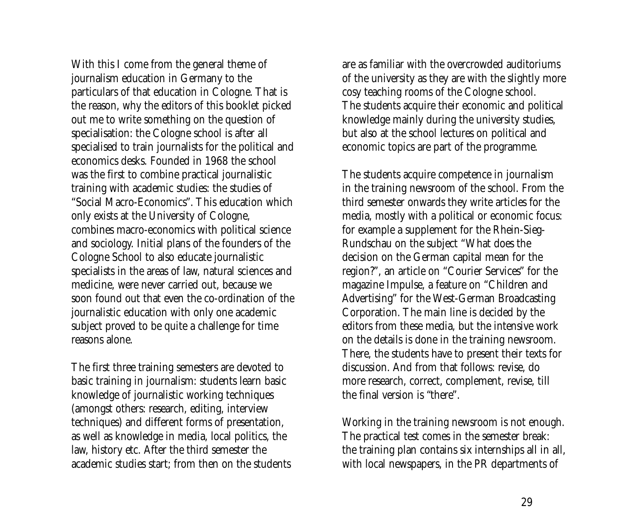With this I come from the general theme of journalism education in Germany to the particulars of that education in Cologne. That is the reason, why the editors of this booklet picked out me to write something on the question of specialisation: the Cologne school is after all specialised to train journalists for the political and economics desks. Founded in 1968 the school was the first to combine practical journalistic training with academic studies: the studies of "Social Macro-Economics". This education which only exists at the University of Cologne, combines macro-economics with political science and sociology. Initial plans of the founders of the Cologne School to also educate journalistic specialists in the areas of law, natural sciences and medicine, were never carried out, because we soon found out that even the co-ordination of the journalistic education with only one academic subject proved to be quite a challenge for time reasons alone.

The first three training semesters are devoted to basic training in journalism: students learn basic knowledge of journalistic working techniques (amongst others: research, editing, interview techniques) and different forms of presentation, as well as knowledge in media, local politics, the law, history etc. After the third semester the academic studies start; from then on the students are as familiar with the overcrowded auditoriums of the university as they are with the slightly more cosy teaching rooms of the Cologne school. The students acquire their economic and political knowledge mainly during the university studies, but also at the school lectures on political and economic topics are part of the programme.

The students acquire competence in journalism in the training newsroom of the school. From the third semester onwards they write articles for the media, mostly with a political or economic focus: for example a supplement for the Rhein-Sieg-Rundschau on the subject "What does the decision on the German capital mean for the region?", an article on "Courier Services" for the magazine Impulse, a feature on "Children and Advertising" for the West-German Broadcasting Corporation. The main line is decided by the editors from these media, but the intensive work on the details is done in the training newsroom. There, the students have to present their texts for discussion. And from that follows: revise, do more research, correct, complement, revise, till the final version is "there".

Working in the training newsroom is not enough. The practical test comes in the semester break: the training plan contains six internships all in all, with local newspapers, in the PR departments of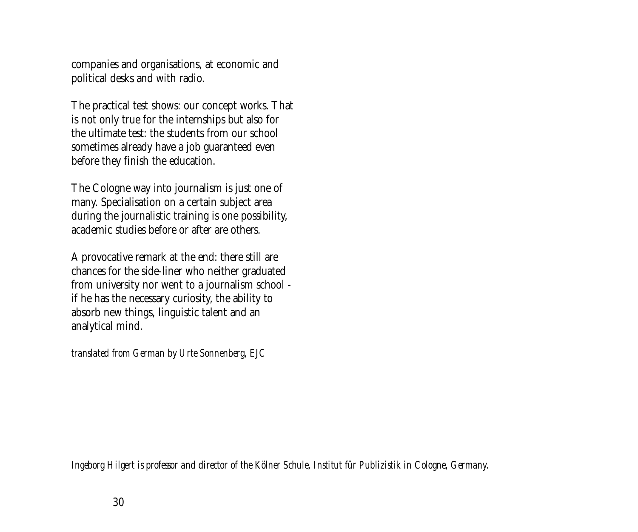companies and organisations, at economic and political desks and with radio.

The practical test shows: our concept works. That is not only true for the internships but also for the ultimate test: the students from our school sometimes already have a job guaranteed even before they finish the education.

The Cologne way into journalism is just one of many. Specialisation on a certain subject area during the journalistic training is one possibility, academic studies before or after are others.

A provocative remark at the end: there still are chances for the side-liner who neither graduated from university nor went to a journalism school if he has the necessary curiosity, the ability to absorb new things, linguistic talent and an analytical mind.

*translated from German by Urte Sonnenberg, EJC*

*Ingeborg Hilgert is professor and director of the Kölner Schule, Institut für Publizistik in Cologne, Germany.*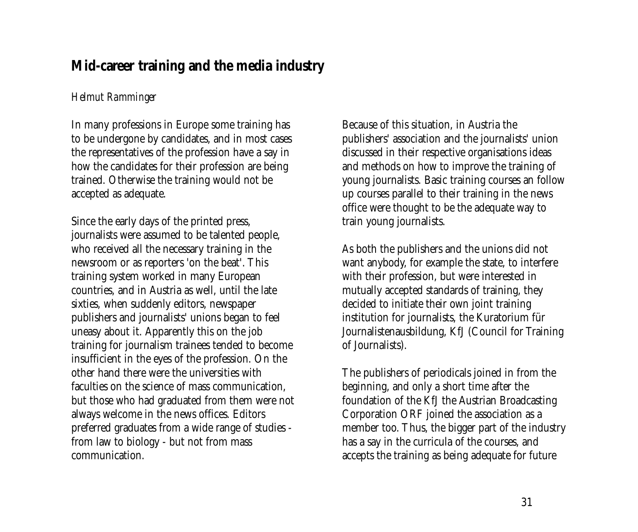# <span id="page-30-0"></span>**Mid-career training and the media industry**

### *Helmut Ramminger*

In many professions in Europe some training has to be undergone by candidates, and in most cases the representatives of the profession have a say in how the candidates for their profession are being trained. Otherwise the training would not be accepted as adequate.

Since the early days of the printed press, journalists were assumed to be talented people, who received all the necessary training in the newsroom or as reporters 'on the beat'. This training system worked in many European countries, and in Austria as well, until the late sixties, when suddenly editors, newspaper publishers and journalists' unions began to feel uneasy about it. Apparently this on the job training for journalism trainees tended to become insufficient in the eyes of the profession. On the other hand there were the universities with faculties on the science of mass communication, but those who had graduated from them were not always welcome in the news offices. Editors preferred graduates from a wide range of studies from law to biology - but not from mass communication.

Because of this situation, in Austria the publishers' association and the journalists' union discussed in their respective organisations ideas and methods on how to improve the training of young journalists. Basic training courses an follow up courses parallel to their training in the news office were thought to be the adequate way to train young journalists.

As both the publishers and the unions did not want anybody, for example the state, to interfere with their profession, but were interested in mutually accepted standards of training, they decided to initiate their own joint training institution for journalists, the Kuratorium für Journalistenausbildung, KfJ (Council for Training of Journalists).

The publishers of periodicals joined in from the beginning, and only a short time after the foundation of the KfJ the Austrian Broadcasting Corporation ORF joined the association as a member too. Thus, the bigger part of the industry has a say in the curricula of the courses, and accepts the training as being adequate for future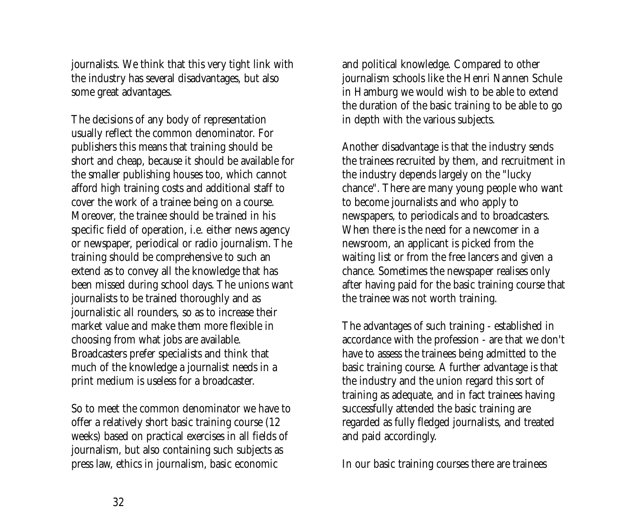journalists. We think that this very tight link with the industry has several disadvantages, but also some great advantages.

The decisions of any body of representation usually reflect the common denominator. For publishers this means that training should be short and cheap, because it should be available for the smaller publishing houses too, which cannot afford high training costs and additional staff to cover the work of a trainee being on a course. Moreover, the trainee should be trained in his specific field of operation, i.e. either news agency or newspaper, periodical or radio journalism. The training should be comprehensive to such an extend as to convey all the knowledge that has been missed during school days. The unions want journalists to be trained thoroughly and as journalistic all rounders, so as to increase their market value and make them more flexible in choosing from what jobs are available. Broadcasters prefer specialists and think that much of the knowledge a journalist needs in a print medium is useless for a broadcaster.

So to meet the common denominator we have to offer a relatively short basic training course (12 weeks) based on practical exercises in all fields of journalism, but also containing such subjects as press law, ethics in journalism, basic economic

and political knowledge. Compared to other journalism schools like the Henri Nannen Schule in Hamburg we would wish to be able to extend the duration of the basic training to be able to go in depth with the various subjects.

Another disadvantage is that the industry sends the trainees recruited by them, and recruitment in the industry depends largely on the "lucky chance". There are many young people who want to become journalists and who apply to newspapers, to periodicals and to broadcasters. When there is the need for a newcomer in a newsroom, an applicant is picked from the waiting list or from the free lancers and given a chance. Sometimes the newspaper realises only after having paid for the basic training course that the trainee was not worth training.

The advantages of such training - established in accordance with the profession - are that we don't have to assess the trainees being admitted to the basic training course. A further advantage is that the industry and the union regard this sort of training as adequate, and in fact trainees having successfully attended the basic training are regarded as fully fledged journalists, and treated and paid accordingly.

In our basic training courses there are trainees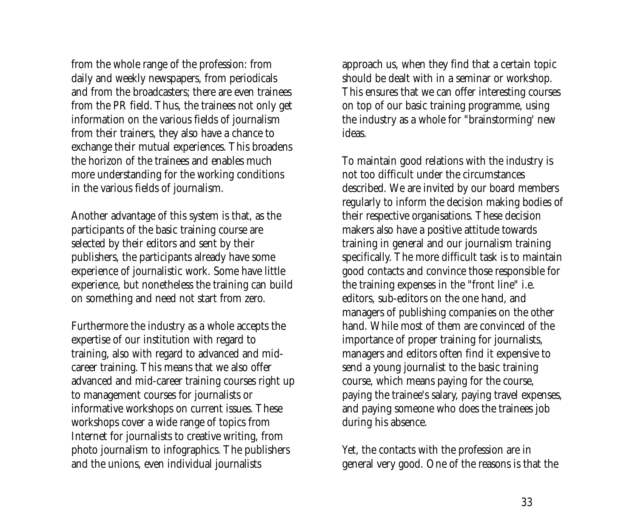from the whole range of the profession: from daily and weekly newspapers, from periodicals and from the broadcasters; there are even trainees from the PR field. Thus, the trainees not only get information on the various fields of journalism from their trainers, they also have a chance to exchange their mutual experiences. This broadens the horizon of the trainees and enables much more understanding for the working conditions in the various fields of journalism.

Another advantage of this system is that, as the participants of the basic training course are selected by their editors and sent by their publishers, the participants already have some experience of journalistic work. Some have little experience, but nonetheless the training can build on something and need not start from zero.

Furthermore the industry as a whole accepts the expertise of our institution with regard to training, also with regard to advanced and midcareer training. This means that we also offer advanced and mid-career training courses right up to management courses for journalists or informative workshops on current issues. These workshops cover a wide range of topics from Internet for journalists to creative writing, from photo journalism to infographics. The publishers and the unions, even individual journalists

approach us, when they find that a certain topic should be dealt with in a seminar or workshop. This ensures that we can offer interesting courses on top of our basic training programme, using the industry as a whole for "brainstorming' new ideas.

To maintain good relations with the industry is not too difficult under the circumstances described. We are invited by our board members regularly to inform the decision making bodies of their respective organisations. These decision makers also have a positive attitude towards training in general and our journalism training specifically. The more difficult task is to maintain good contacts and convince those responsible for the training expenses in the "front line" i.e. editors, sub-editors on the one hand, and managers of publishing companies on the other hand. While most of them are convinced of the importance of proper training for journalists, managers and editors often find it expensive to send a young journalist to the basic training course, which means paying for the course, paying the trainee's salary, paying travel expenses, and paying someone who does the trainees job during his absence.

Yet, the contacts with the profession are in general very good. One of the reasons is that the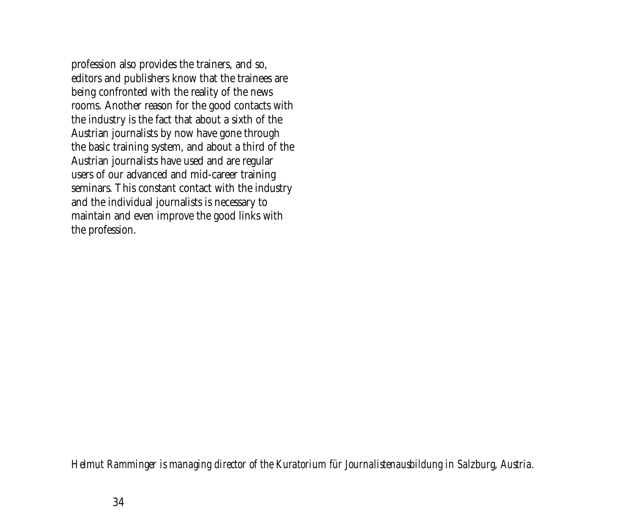profession also provides the trainers, and so, editors and publishers know that the trainees are being confronted with the reality of the news rooms. Another reason for the good contacts with the industry is the fact that about a sixth of the Austrian journalists by now have gone through the basic training system, and about a third of the Austrian journalists have used and are regular users of our advanced and mid-career training seminars. This constant contact with the industry and the individual journalists is necessary to maintain and even improve the good links with the profession.

*Helmut Ramminger is managing director of the Kuratorium für Journalistenausbildung in Salzburg, Austria.*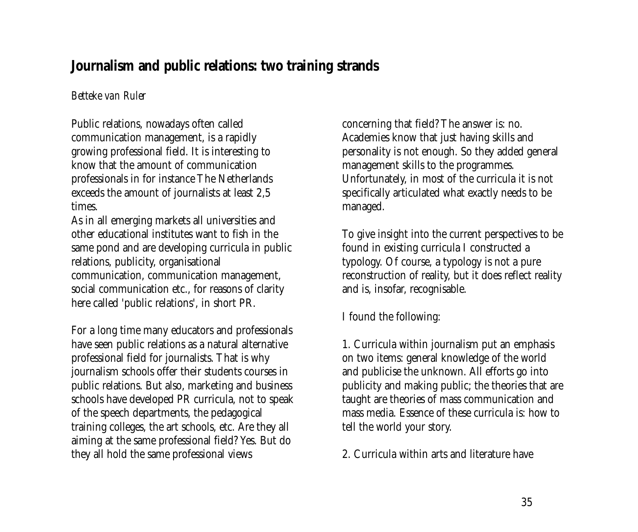# <span id="page-34-0"></span>**Journalism and public relations: two training strands**

### *Betteke van Ruler*

Public relations, nowadays often called communication management, is a rapidly growing professional field. It is interesting to know that the amount of communication professionals in for instance The Netherlands exceeds the amount of journalists at least 2,5 times.

As in all emerging markets all universities and other educational institutes want to fish in the same pond and are developing curricula in public relations, publicity, organisational communication, communication management, social communication etc., for reasons of clarity here called 'public relations', in short PR.

For a long time many educators and professionals have seen public relations as a natural alternative professional field for journalists. That is why journalism schools offer their students courses in public relations. But also, marketing and business schools have developed PR curricula, not to speak of the speech departments, the pedagogical training colleges, the art schools, etc. Are they all aiming at the same professional field? Yes. But do they all hold the same professional views

concerning that field? The answer is: no. Academies know that just having skills and personality is not enough. So they added general management skills to the programmes. Unfortunately, in most of the curricula it is not specifically articulated what exactly needs to be managed.

To give insight into the current perspectives to be found in existing curricula I constructed a typology. Of course, a typology is not a pure reconstruction of reality, but it does reflect reality and is, insofar, recognisable.

I found the following:

1. Curricula within journalism put an emphasis on two items: general knowledge of the world and publicise the unknown. All efforts go into publicity and making public; the theories that are taught are theories of mass communication and mass media. Essence of these curricula is: how to tell the world your story.

2. Curricula within arts and literature have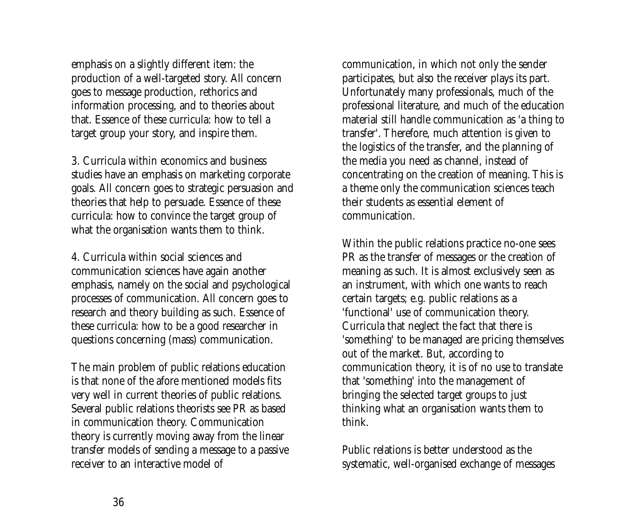emphasis on a slightly different item: the production of a well-targeted story. All concern goes to message production, rethorics and information processing, and to theories about that. Essence of these curricula: how to tell a target group your story, and inspire them.

3. Curricula within economics and business studies have an emphasis on marketing corporate goals. All concern goes to strategic persuasion and theories that help to persuade. Essence of these curricula: how to convince the target group of what the organisation wants them to think.

4. Curricula within social sciences and communication sciences have again another emphasis, namely on the social and psychological processes of communication. All concern goes to research and theory building as such. Essence of these curricula: how to be a good researcher in questions concerning (mass) communication.

The main problem of public relations education is that none of the afore mentioned models fits very well in current theories of public relations. Several public relations theorists see PR as based in communication theory. Communication theory is currently moving away from the linear transfer models of sending a message to a passive receiver to an interactive model of

communication, in which not only the sender participates, but also the receiver plays its part. Unfortunately many professionals, much of the professional literature, and much of the education material still handle communication as 'a thing to transfer'. Therefore, much attention is given to the logistics of the transfer, and the planning of the media you need as channel, instead of concentrating on the creation of meaning. This is a theme only the communication sciences teach their students as essential element of communication.

Within the public relations practice no-one sees PR as the transfer of messages or the creation of meaning as such. It is almost exclusively seen as an instrument, with which one wants to reach certain targets; e.g. public relations as a 'functional' use of communication theory. Curricula that neglect the fact that there is 'something' to be managed are pricing themselves out of the market. But, according to communication theory, it is of no use to translate that 'something' into the management of bringing the selected target groups to just thinking what an organisation wants them to think.

Public relations is better understood as the systematic, well-organised exchange of messages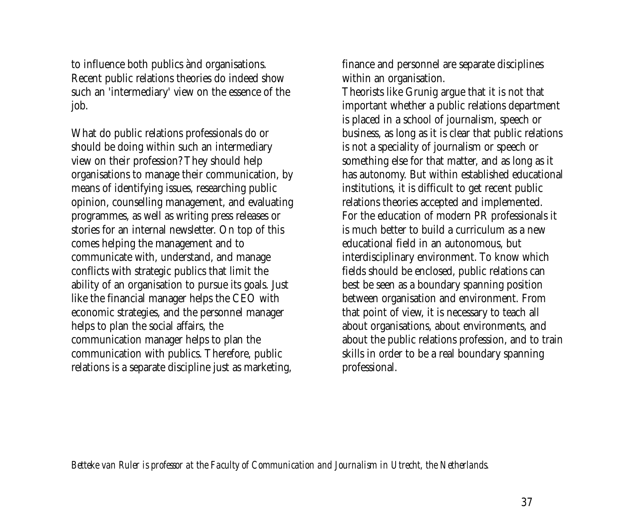to influence both publics ànd organisations. Recent public relations theories do indeed show such an 'intermediary' view on the essence of the job.

What do public relations professionals do or should be doing within such an intermediary view on their profession? They should help organisations to manage their communication, by means of identifying issues, researching public opinion, counselling management, and evaluating programmes, as well as writing press releases or stories for an internal newsletter. On top of this comes helping the management and to communicate with, understand, and manage conflicts with strategic publics that limit the ability of an organisation to pursue its goals. Just like the financial manager helps the CEO with economic strategies, and the personnel manager helps to plan the social affairs, the communication manager helps to plan the communication with publics. Therefore, public relations is a separate discipline just as marketing,

finance and personnel are separate disciplines within an organisation.

Theorists like Grunig argue that it is not that important whether a public relations department is placed in a school of journalism, speech or business, as long as it is clear that public relations is not a speciality of journalism or speech or something else for that matter, and as long as it has autonomy. But within established educational institutions, it is difficult to get recent public relations theories accepted and implemented. For the education of modern PR professionals it is much better to build a curriculum as a new educational field in an autonomous, but interdisciplinary environment. To know which fields should be enclosed, public relations can best be seen as a boundary spanning position between organisation and environment. From that point of view, it is necessary to teach all about organisations, about environments, and about the public relations profession, and to train skills in order to be a real boundary spanning professional.

*Betteke van Ruler is professor at the Faculty of Communication and Journalism in Utrecht, the Netherlands.*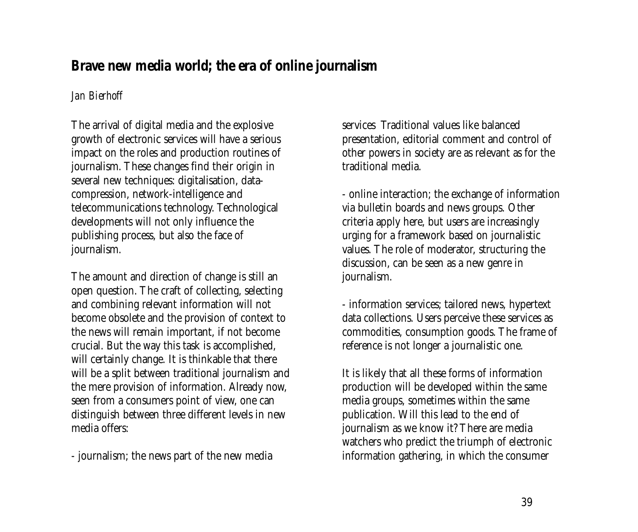# <span id="page-38-0"></span>**Brave new media world; the era of online journalism**

### *Jan Bierhoff*

The arrival of digital media and the explosive growth of electronic services will have a serious impact on the roles and production routines of journalism. These changes find their origin in several new techniques: digitalisation, datacompression, network-intelligence and telecommunications technology. Technological developments will not only influence the publishing process, but also the face of journalism.

The amount and direction of change is still an open question. The craft of collecting, selecting and combining relevant information will not become obsolete and the provision of context to the news will remain important, if not become crucial. But the way this task is accomplished, will certainly change. It is thinkable that there will be a split between traditional journalism and the mere provision of information. Already now, seen from a consumers point of view, one can distinguish between three different levels in new media offers:

- journalism; the news part of the new media

services Traditional values like balanced presentation, editorial comment and control of other powers in society are as relevant as for the traditional media.

- online interaction; the exchange of information via bulletin boards and news groups. Other criteria apply here, but users are increasingly urging for a framework based on journalistic values. The role of moderator, structuring the discussion, can be seen as a new genre in journalism.

- information services; tailored news, hypertext data collections. Users perceive these services as commodities, consumption goods. The frame of reference is not longer a journalistic one.

It is likely that all these forms of information production will be developed within the same media groups, sometimes within the same publication. Will this lead to the end of journalism as we know it? There are media watchers who predict the triumph of electronic information gathering, in which the consumer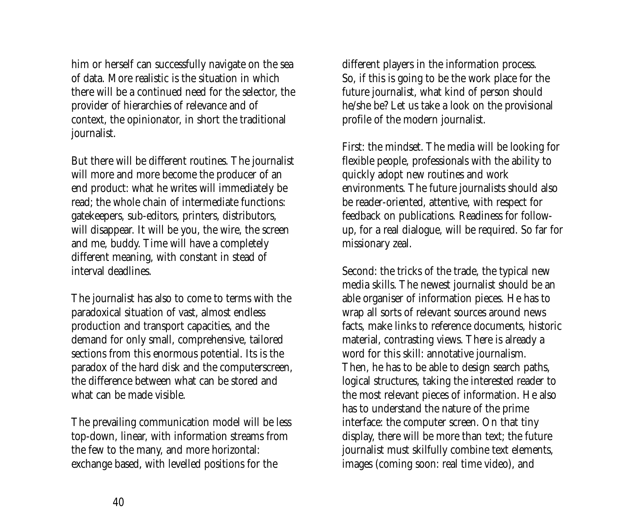him or herself can successfully navigate on the sea of data. More realistic is the situation in which there will be a continued need for the selector, the provider of hierarchies of relevance and of context, the opinionator, in short the traditional journalist.

But there will be different routines. The journalist will more and more become the producer of an end product: what he writes will immediately be read; the whole chain of intermediate functions: gatekeepers, sub-editors, printers, distributors, will disappear. It will be you, the wire, the screen and me, buddy. Time will have a completely different meaning, with constant in stead of interval deadlines.

The journalist has also to come to terms with the paradoxical situation of vast, almost endless production and transport capacities, and the demand for only small, comprehensive, tailored sections from this enormous potential. Its is the paradox of the hard disk and the computerscreen, the difference between what can be stored and what can be made visible.

The prevailing communication model will be less top-down, linear, with information streams from the few to the many, and more horizontal: exchange based, with levelled positions for the

different players in the information process. So, if this is going to be the work place for the future journalist, what kind of person should he/she be? Let us take a look on the provisional profile of the modern journalist.

First: the mindset. The media will be looking for flexible people, professionals with the ability to quickly adopt new routines and work environments. The future journalists should also be reader-oriented, attentive, with respect for feedback on publications. Readiness for followup, for a real dialogue, will be required. So far for missionary zeal.

Second: the tricks of the trade, the typical new media skills. The newest journalist should be an able organiser of information pieces. He has to wrap all sorts of relevant sources around news facts, make links to reference documents, historic material, contrasting views. There is already a word for this skill: annotative journalism. Then, he has to be able to design search paths, logical structures, taking the interested reader to the most relevant pieces of information. He also has to understand the nature of the prime interface: the computer screen. On that tiny display, there will be more than text; the future journalist must skilfully combine text elements, images (coming soon: real time video), and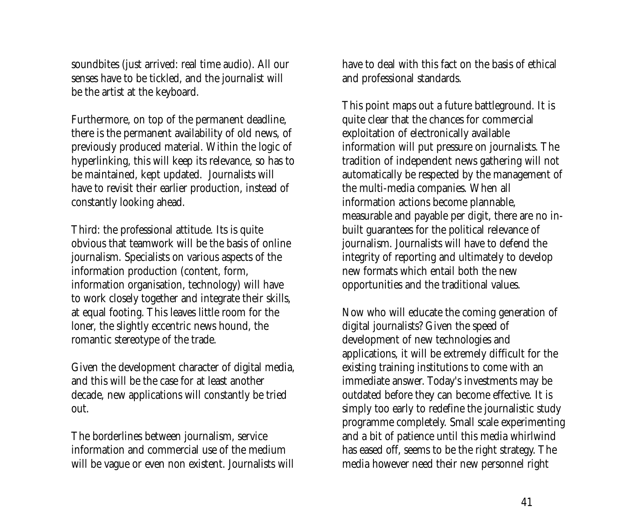soundbites (just arrived: real time audio). All our senses have to be tickled, and the journalist will be the artist at the keyboard.

Furthermore, on top of the permanent deadline, there is the permanent availability of old news, of previously produced material. Within the logic of hyperlinking, this will keep its relevance, so has to be maintained, kept updated. Journalists will have to revisit their earlier production, instead of constantly looking ahead.

Third: the professional attitude. Its is quite obvious that teamwork will be the basis of online journalism. Specialists on various aspects of the information production (content, form, information organisation, technology) will have to work closely together and integrate their skills, at equal footing. This leaves little room for the loner, the slightly eccentric news hound, the romantic stereotype of the trade.

Given the development character of digital media, and this will be the case for at least another decade, new applications will constantly be tried out.

The borderlines between journalism, service information and commercial use of the medium will be vague or even non existent. Journalists will have to deal with this fact on the basis of ethical and professional standards.

This point maps out a future battleground. It is quite clear that the chances for commercial exploitation of electronically available information will put pressure on journalists. The tradition of independent news gathering will not automatically be respected by the management of the multi-media companies. When all information actions become plannable, measurable and payable per digit, there are no inbuilt guarantees for the political relevance of journalism. Journalists will have to defend the integrity of reporting and ultimately to develop new formats which entail both the new opportunities and the traditional values.

Now who will educate the coming generation of digital journalists? Given the speed of development of new technologies and applications, it will be extremely difficult for the existing training institutions to come with an immediate answer. Today's investments may be outdated before they can become effective. It is simply too early to redefine the journalistic study programme completely. Small scale experimenting and a bit of patience until this media whirlwind has eased off, seems to be the right strategy. The media however need their new personnel right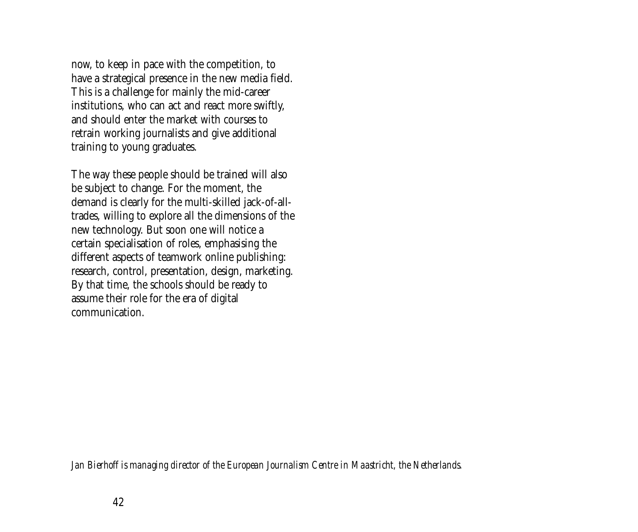now, to keep in pace with the competition, to have a strategical presence in the new media field. This is a challenge for mainly the mid-career institutions, who can act and react more swiftly, and should enter the market with courses to retrain working journalists and give additional training to young graduates.

The way these people should be trained will also be subject to change. For the moment, the demand is clearly for the multi-skilled jack-of-alltrades, willing to explore all the dimensions of the new technology. But soon one will notice a certain specialisation of roles, emphasising the different aspects of teamwork online publishing: research, control, presentation, design, marketing. By that time, the schools should be ready to assume their role for the era of digital communication.

*Jan Bierhoff is managing director of the European Journalism Centre in Maastricht, the Netherlands.*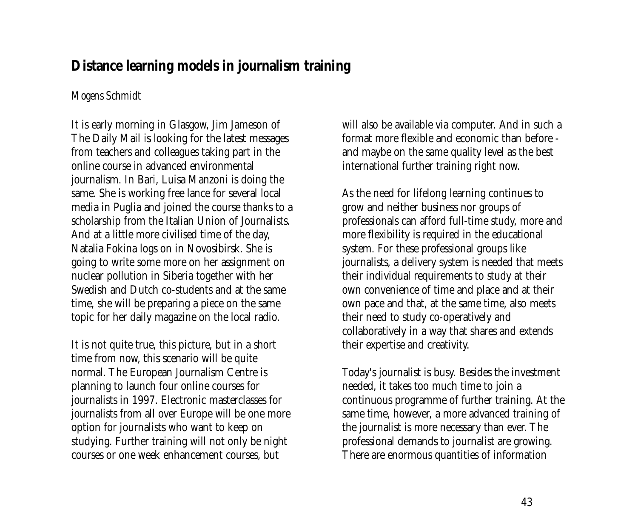### <span id="page-42-0"></span>**Distance learning models in journalism training**

### *Mogens Schmidt*

It is early morning in Glasgow, Jim Jameson of The Daily Mail is looking for the latest messages from teachers and colleagues taking part in the online course in advanced environmental journalism. In Bari, Luisa Manzoni is doing the same. She is working free lance for several local media in Puglia and joined the course thanks to a scholarship from the Italian Union of Journalists. And at a little more civilised time of the day, Natalia Fokina logs on in Novosibirsk. She is going to write some more on her assignment on nuclear pollution in Siberia together with her Swedish and Dutch co-students and at the same time, she will be preparing a piece on the same topic for her daily magazine on the local radio.

It is not quite true, this picture, but in a short time from now, this scenario will be quite normal. The European Journalism Centre is planning to launch four online courses for journalists in 1997. Electronic masterclasses for journalists from all over Europe will be one more option for journalists who want to keep on studying. Further training will not only be night courses or one week enhancement courses, but

will also be available via computer. And in such a format more flexible and economic than before and maybe on the same quality level as the best international further training right now.

As the need for lifelong learning continues to grow and neither business nor groups of professionals can afford full-time study, more and more flexibility is required in the educational system. For these professional groups like journalists, a delivery system is needed that meets their individual requirements to study at their own convenience of time and place and at their own pace and that, at the same time, also meets their need to study co-operatively and collaboratively in a way that shares and extends their expertise and creativity.

Today's journalist is busy. Besides the investment needed, it takes too much time to join a continuous programme of further training. At the same time, however, a more advanced training of the journalist is more necessary than ever. The professional demands to journalist are growing. There are enormous quantities of information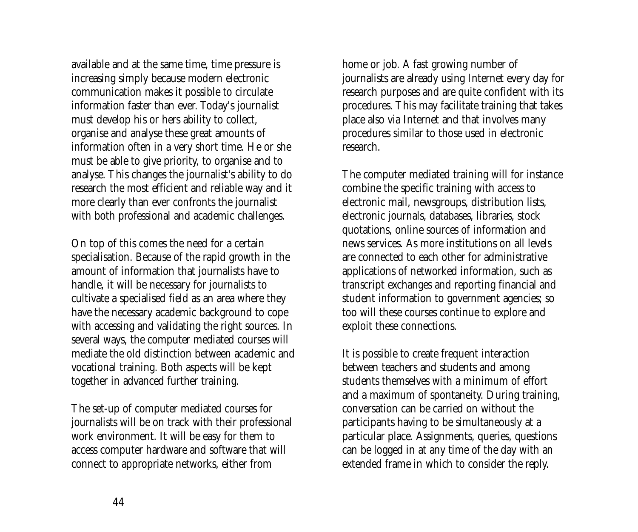available and at the same time, time pressure is increasing simply because modern electronic communication makes it possible to circulate information faster than ever. Today's journalist must develop his or hers ability to collect, organise and analyse these great amounts of information often in a very short time. He or she must be able to give priority, to organise and to analyse. This changes the journalist's ability to do research the most efficient and reliable way and it more clearly than ever confronts the journalist with both professional and academic challenges.

On top of this comes the need for a certain specialisation. Because of the rapid growth in the amount of information that journalists have to handle, it will be necessary for journalists to cultivate a specialised field as an area where they have the necessary academic background to cope with accessing and validating the right sources. In several ways, the computer mediated courses will mediate the old distinction between academic and vocational training. Both aspects will be kept together in advanced further training.

The set-up of computer mediated courses for journalists will be on track with their professional work environment. It will be easy for them to access computer hardware and software that will connect to appropriate networks, either from

home or job. A fast growing number of journalists are already using Internet every day for research purposes and are quite confident with its procedures. This may facilitate training that takes place also via Internet and that involves many procedures similar to those used in electronic research.

The computer mediated training will for instance combine the specific training with access to electronic mail, newsgroups, distribution lists, electronic journals, databases, libraries, stock quotations, online sources of information and news services. As more institutions on all levels are connected to each other for administrative applications of networked information, such as transcript exchanges and reporting financial and student information to government agencies; so too will these courses continue to explore and exploit these connections.

It is possible to create frequent interaction between teachers and students and among students themselves with a minimum of effort and a maximum of spontaneity. During training, conversation can be carried on without the participants having to be simultaneously at a particular place. Assignments, queries, questions can be logged in at any time of the day with an extended frame in which to consider the reply.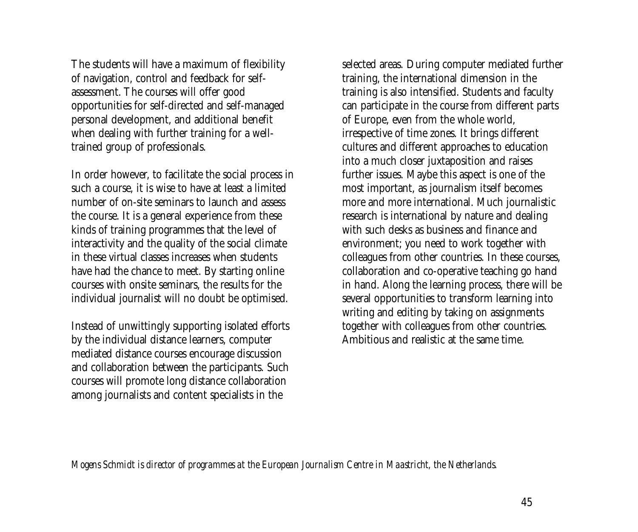The students will have a maximum of flexibility of navigation, control and feedback for selfassessment. The courses will offer good opportunities for self-directed and self-managed personal development, and additional benefit when dealing with further training for a welltrained group of professionals.

In order however, to facilitate the social process in such a course, it is wise to have at least a limited number of on-site seminars to launch and assess the course. It is a general experience from these kinds of training programmes that the level of interactivity and the quality of the social climate in these virtual classes increases when students have had the chance to meet. By starting online courses with onsite seminars, the results for the individual journalist will no doubt be optimised.

Instead of unwittingly supporting isolated efforts by the individual distance learners, computer mediated distance courses encourage discussion and collaboration between the participants. Such courses will promote long distance collaboration among journalists and content specialists in the

selected areas. During computer mediated further training, the international dimension in the training is also intensified. Students and faculty can participate in the course from different parts of Europe, even from the whole world, irrespective of time zones. It brings different cultures and different approaches to education into a much closer juxtaposition and raises further issues. Maybe this aspect is one of the most important, as journalism itself becomes more and more international. Much journalistic research is international by nature and dealing with such desks as business and finance and environment; you need to work together with colleagues from other countries. In these courses, collaboration and co-operative teaching go hand in hand. Along the learning process, there will be several opportunities to transform learning into writing and editing by taking on assignments together with colleagues from other countries. Ambitious and realistic at the same time.

*Mogens Schmidt is director of programmes at the European Journalism Centre in Maastricht, the Netherlands.*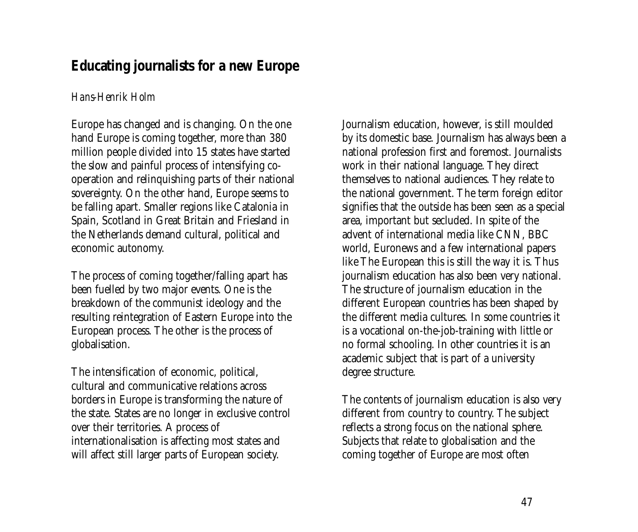## <span id="page-46-0"></span>**Educating journalists for a new Europe**

### *Hans-Henrik Holm*

Europe has changed and is changing. On the one hand Europe is coming together, more than 380 million people divided into 15 states have started the slow and painful process of intensifying cooperation and relinquishing parts of their national sovereignty. On the other hand, Europe seems to be falling apart. Smaller regions like Catalonia in Spain, Scotland in Great Britain and Friesland in the Netherlands demand cultural, political and economic autonomy.

The process of coming together/falling apart has been fuelled by two major events. One is the breakdown of the communist ideology and the resulting reintegration of Eastern Europe into the European process. The other is the process of globalisation.

The intensification of economic, political, cultural and communicative relations across borders in Europe is transforming the nature of the state. States are no longer in exclusive control over their territories. A process of internationalisation is affecting most states and will affect still larger parts of European society.

Journalism education, however, is still moulded by its domestic base. Journalism has always been a national profession first and foremost. Journalists work in their national language. They direct themselves to national audiences. They relate to the national government. The term foreign editor signifies that the outside has been seen as a special area, important but secluded. In spite of the advent of international media like CNN, BBC world, Euronews and a few international papers like The European this is still the way it is. Thus journalism education has also been very national. The structure of journalism education in the different European countries has been shaped by the different media cultures. In some countries it is a vocational on-the-job-training with little or no formal schooling. In other countries it is an academic subject that is part of a university degree structure.

The contents of journalism education is also very different from country to country. The subject reflects a strong focus on the national sphere. Subjects that relate to globalisation and the coming together of Europe are most often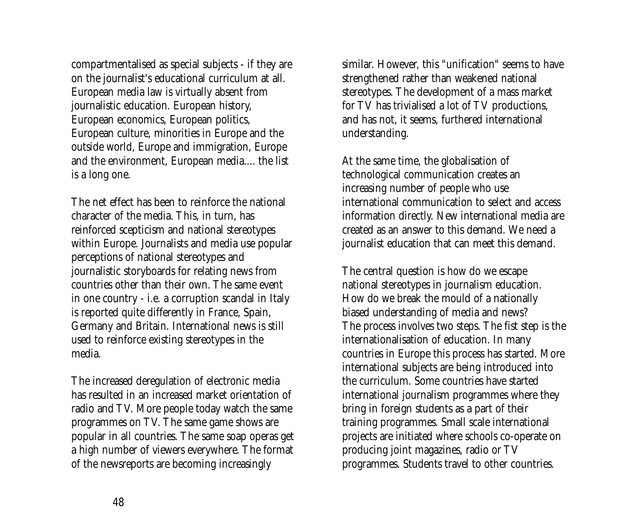compartmentalised as special subjects - if they are on the journalist's educational curriculum at all. European media law is virtually absent from journalistic education. European history, European economics, European politics, European culture, minorities in Europe and the outside world, Europe and immigration, Europe and the environment, European media.... the list is a long one.

The net effect has been to reinforce the national character of the media. This, in turn, has reinforced scepticism and national stereotypes within Europe. Journalists and media use popular perceptions of national stereotypes and journalistic storyboards for relating news from countries other than their own. The same event in one country - i.e. a corruption scandal in Italy is reported quite differently in France, Spain, Germany and Britain. International news is still used to reinforce existing stereotypes in the media.

The increased deregulation of electronic media has resulted in an increased market orientation of radio and TV. More people today watch the same programmes on TV. The same game shows are popular in all countries. The same soap operas get a high number of viewers everywhere. The format of the newsreports are becoming increasingly

similar. However, this "unification" seems to have strengthened rather than weakened national stereotypes. The development of a mass market for TV has trivialised a lot of TV productions, and has not, it seems, furthered international understanding.

At the same time, the globalisation of technological communication creates an increasing number of people who use international communication to select and access information directly. New international media are created as an answer to this demand. We need a journalist education that can meet this demand.

The central question is how do we escape national stereotypes in journalism education. How do we break the mould of a nationally biased understanding of media and news? The process involves two steps. The fist step is the internationalisation of education. In many countries in Europe this process has started. More international subjects are being introduced into the curriculum. Some countries have started international journalism programmes where they bring in foreign students as a part of their training programmes. Small scale international projects are initiated where schools co-operate on producing joint magazines, radio or TV programmes. Students travel to other countries.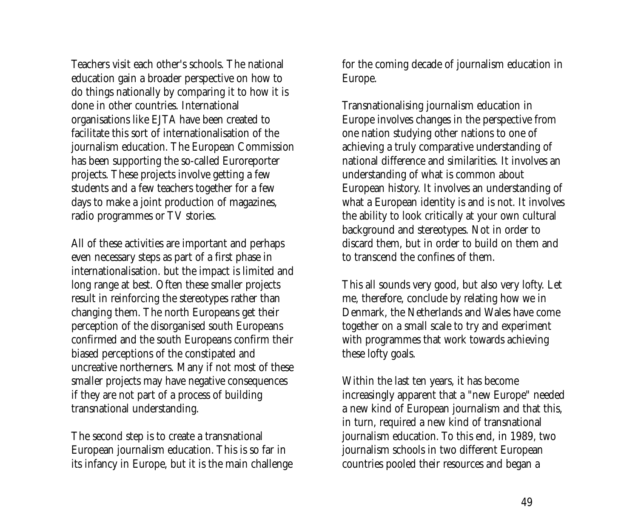Teachers visit each other's schools. The national education gain a broader perspective on how to do things nationally by comparing it to how it is done in other countries. International organisations like EJTA have been created to facilitate this sort of internationalisation of the journalism education. The European Commission has been supporting the so-called Euroreporter projects. These projects involve getting a few students and a few teachers together for a few days to make a joint production of magazines, radio programmes or TV stories.

All of these activities are important and perhaps even necessary steps as part of a first phase in internationalisation. but the impact is limited and long range at best. Often these smaller projects result in reinforcing the stereotypes rather than changing them. The north Europeans get their perception of the disorganised south Europeans confirmed and the south Europeans confirm their biased perceptions of the constipated and uncreative northerners. Many if not most of these smaller projects may have negative consequences if they are not part of a process of building transnational understanding.

The second step is to create a transnational European journalism education. This is so far in its infancy in Europe, but it is the main challenge for the coming decade of journalism education in Europe.

Transnationalising journalism education in Europe involves changes in the perspective from one nation studying other nations to one of achieving a truly comparative understanding of national difference and similarities. It involves an understanding of what is common about European history. It involves an understanding of what a European identity is and is not. It involves the ability to look critically at your own cultural background and stereotypes. Not in order to discard them, but in order to build on them and to transcend the confines of them.

This all sounds very good, but also very lofty. Let me, therefore, conclude by relating how we in Denmark, the Netherlands and Wales have come together on a small scale to try and experiment with programmes that work towards achieving these lofty goals.

Within the last ten years, it has become increasingly apparent that a "new Europe" needed a new kind of European journalism and that this, in turn, required a new kind of transnational journalism education. To this end, in 1989, two journalism schools in two different European countries pooled their resources and began a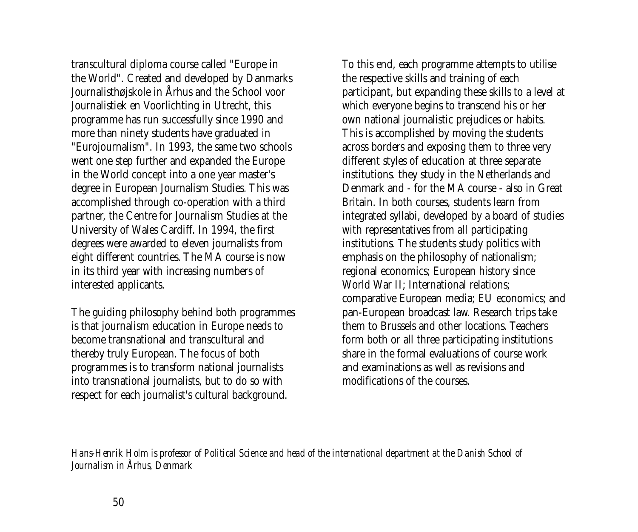transcultural diploma course called "Europe in the World". Created and developed by Danmarks Journalisthøjskole in Århus and the School voor Journalistiek en Voorlichting in Utrecht, this programme has run successfully since 1990 and more than ninety students have graduated in "Eurojournalism". In 1993, the same two schools went one step further and expanded the Europe in the World concept into a one year master's degree in European Journalism Studies. This was accomplished through co-operation with a third partner, the Centre for Journalism Studies at the University of Wales Cardiff. In 1994, the first degrees were awarded to eleven journalists from eight different countries. The MA course is now in its third year with increasing numbers of interested applicants.

The guiding philosophy behind both programmes is that journalism education in Europe needs to become transnational and transcultural and thereby truly European. The focus of both programmes is to transform national journalists into transnational journalists, but to do so with respect for each journalist's cultural background.

To this end, each programme attempts to utilise the respective skills and training of each participant, but expanding these skills to a level at which everyone begins to transcend his or her own national journalistic prejudices or habits. This is accomplished by moving the students across borders and exposing them to three very different styles of education at three separate institutions. they study in the Netherlands and Denmark and - for the MA course - also in Great Britain. In both courses, students learn from integrated syllabi, developed by a board of studies with representatives from all participating institutions. The students study politics with emphasis on the philosophy of nationalism; regional economics; European history since World War II; International relations; comparative European media; EU economics; and pan-European broadcast law. Research trips take them to Brussels and other locations. Teachers form both or all three participating institutions share in the formal evaluations of course work and examinations as well as revisions and modifications of the courses.

*Hans-Henrik Holm is professor of Political Science and head of the international department at the Danish School of Journalism in Århus, Denmark*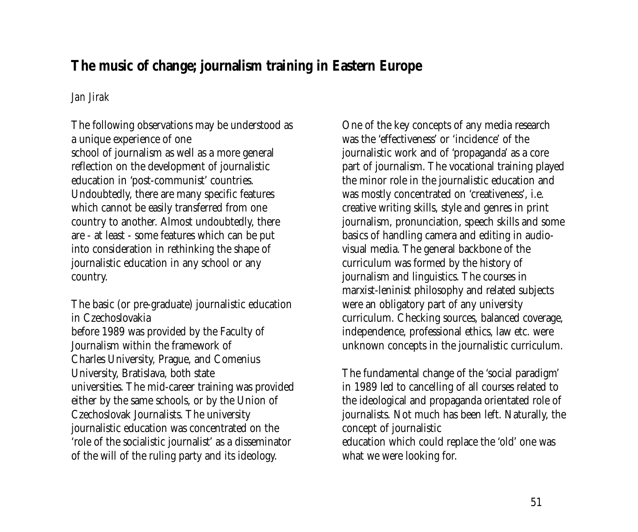# <span id="page-50-0"></span>**The music of change; journalism training in Eastern Europe**

### *Jan Jirak*

The following observations may be understood as a unique experience of one school of journalism as well as a more general reflection on the development of journalistic education in 'post-communist' countries. Undoubtedly, there are many specific features which cannot be easily transferred from one country to another. Almost undoubtedly, there are - at least - some features which can be put into consideration in rethinking the shape of journalistic education in any school or any country.

The basic (or pre-graduate) journalistic education in Czechoslovakia before 1989 was provided by the Faculty of Journalism within the framework of Charles University, Prague, and Comenius University, Bratislava, both state universities. The mid-career training was provided either by the same schools, or by the Union of Czechoslovak Journalists. The university journalistic education was concentrated on the 'role of the socialistic journalist' as a disseminator of the will of the ruling party and its ideology.

One of the key concepts of any media research was the 'effectiveness' or 'incidence' of the journalistic work and of 'propaganda' as a core part of journalism. The vocational training played the minor role in the journalistic education and was mostly concentrated on 'creativeness', i.e. creative writing skills, style and genres in print journalism, pronunciation, speech skills and some basics of handling camera and editing in audiovisual media. The general backbone of the curriculum was formed by the history of journalism and linguistics. The courses in marxist-leninist philosophy and related subjects were an obligatory part of any university curriculum. Checking sources, balanced coverage, independence, professional ethics, law etc. were unknown concepts in the journalistic curriculum.

The fundamental change of the 'social paradigm' in 1989 led to cancelling of all courses related to the ideological and propaganda orientated role of journalists. Not much has been left. Naturally, the concept of journalistic education which could replace the 'old' one was what we were looking for.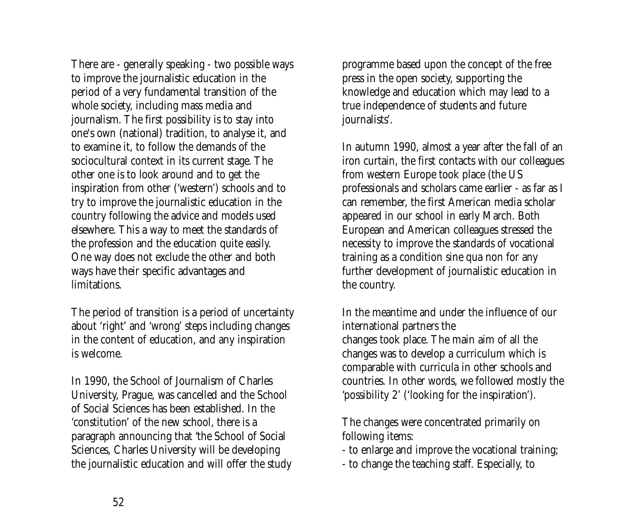There are - generally speaking - two possible ways to improve the journalistic education in the period of a very fundamental transition of the whole society, including mass media and journalism. The first possibility is to stay into one's own (national) tradition, to analyse it, and to examine it, to follow the demands of the sociocultural context in its current stage. The other one is to look around and to get the inspiration from other ('western') schools and to try to improve the journalistic education in the country following the advice and models used elsewhere. This a way to meet the standards of the profession and the education quite easily. One way does not exclude the other and both ways have their specific advantages and limitations.

The period of transition is a period of uncertainty about 'right' and 'wrong' steps including changes in the content of education, and any inspiration is welcome.

In 1990, the School of Journalism of Charles University, Prague, was cancelled and the School of Social Sciences has been established. In the 'constitution' of the new school, there is a paragraph announcing that 'the School of Social Sciences, Charles University will be developing the journalistic education and will offer the study programme based upon the concept of the free press in the open society, supporting the knowledge and education which may lead to a true independence of students and future journalists'.

In autumn 1990, almost a year after the fall of an iron curtain, the first contacts with our colleagues from western Europe took place (the US professionals and scholars came earlier - as far as I can remember, the first American media scholar appeared in our school in early March. Both European and American colleagues stressed the necessity to improve the standards of vocational training as a condition sine qua non for any further development of journalistic education in the country.

In the meantime and under the influence of our international partners the changes took place. The main aim of all the changes was to develop a curriculum which is comparable with curricula in other schools and countries. In other words, we followed mostly the 'possibility 2' ('looking for the inspiration').

The changes were concentrated primarily on following items:

- to enlarge and improve the vocational training;

- to change the teaching staff. Especially, to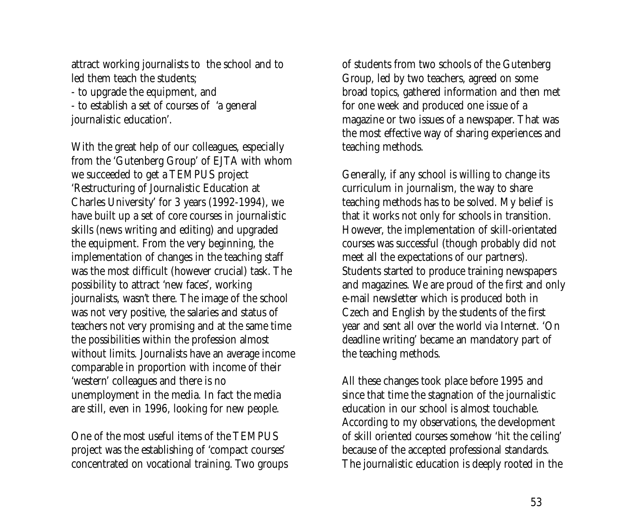attract working journalists to the school and to led them teach the students;

- to upgrade the equipment, and - to establish a set of courses of 'a general journalistic education'.

With the great help of our colleagues, especially from the 'Gutenberg Group' of EJTA with whom we succeeded to get a TEMPUS project 'Restructuring of Journalistic Education at Charles University' for 3 years (1992-1994), we have built up a set of core courses in journalistic skills (news writing and editing) and upgraded the equipment. From the very beginning, the implementation of changes in the teaching staff was the most difficult (however crucial) task. The possibility to attract 'new faces', working journalists, wasn't there. The image of the school was not very positive, the salaries and status of teachers not very promising and at the same time the possibilities within the profession almost without limits. Journalists have an average income comparable in proportion with income of their 'western' colleagues and there is no unemployment in the media. In fact the media are still, even in 1996, looking for new people.

One of the most useful items of the TEMPUS project was the establishing of 'compact courses' concentrated on vocational training. Two groups of students from two schools of the Gutenberg Group, led by two teachers, agreed on some broad topics, gathered information and then met for one week and produced one issue of a magazine or two issues of a newspaper. That was the most effective way of sharing experiences and teaching methods.

Generally, if any school is willing to change its curriculum in journalism, the way to share teaching methods has to be solved. My belief is that it works not only for schools in transition. However, the implementation of skill-orientated courses was successful (though probably did not meet all the expectations of our partners). Students started to produce training newspapers and magazines. We are proud of the first and only e-mail newsletter which is produced both in Czech and English by the students of the first year and sent all over the world via Internet. 'On deadline writing' became an mandatory part of the teaching methods.

All these changes took place before 1995 and since that time the stagnation of the journalistic education in our school is almost touchable. According to my observations, the development of skill oriented courses somehow 'hit the ceiling' because of the accepted professional standards. The journalistic education is deeply rooted in the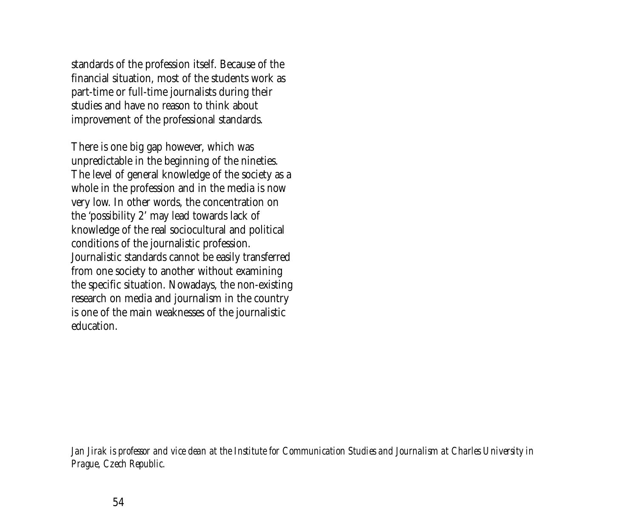standards of the profession itself. Because of the financial situation, most of the students work as part-time or full-time journalists during their studies and have no reason to think about improvement of the professional standards.

There is one big gap however, which was unpredictable in the beginning of the nineties. The level of general knowledge of the society as a whole in the profession and in the media is now very low. In other words, the concentration on the 'possibility 2' may lead towards lack of knowledge of the real sociocultural and political conditions of the journalistic profession. Journalistic standards cannot be easily transferred from one society to another without examining the specific situation. Nowadays, the non-existing research on media and journalism in the country is one of the main weaknesses of the journalistic education.

*Jan Jirak is professor and vice dean at the Institute for Communication Studies and Journalism at Charles University in Prague, Czech Republic.*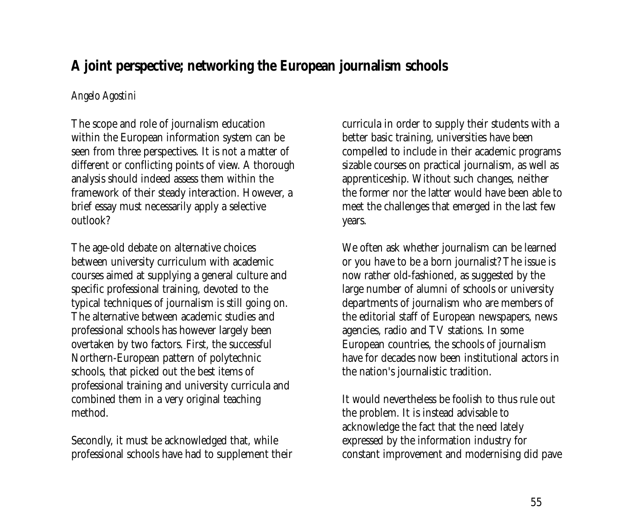# <span id="page-54-0"></span>**A joint perspective; networking the European journalism schools**

### *Angelo Agostini*

The scope and role of journalism education within the European information system can be seen from three perspectives. It is not a matter of different or conflicting points of view. A thorough analysis should indeed assess them within the framework of their steady interaction. However, a brief essay must necessarily apply a selective outlook?

The age-old debate on alternative choices between university curriculum with academic courses aimed at supplying a general culture and specific professional training, devoted to the typical techniques of journalism is still going on. The alternative between academic studies and professional schools has however largely been overtaken by two factors. First, the successful Northern-European pattern of polytechnic schools, that picked out the best items of professional training and university curricula and combined them in a very original teaching method.

Secondly, it must be acknowledged that, while professional schools have had to supplement their curricula in order to supply their students with a better basic training, universities have been compelled to include in their academic programs sizable courses on practical journalism, as well as apprenticeship. Without such changes, neither the former nor the latter would have been able to meet the challenges that emerged in the last few years.

We often ask whether journalism can be learned or you have to be a born journalist? The issue is now rather old-fashioned, as suggested by the large number of alumni of schools or university departments of journalism who are members of the editorial staff of European newspapers, news agencies, radio and TV stations. In some European countries, the schools of journalism have for decades now been institutional actors in the nation's journalistic tradition.

It would nevertheless be foolish to thus rule out the problem. It is instead advisable to acknowledge the fact that the need lately expressed by the information industry for constant improvement and modernising did pave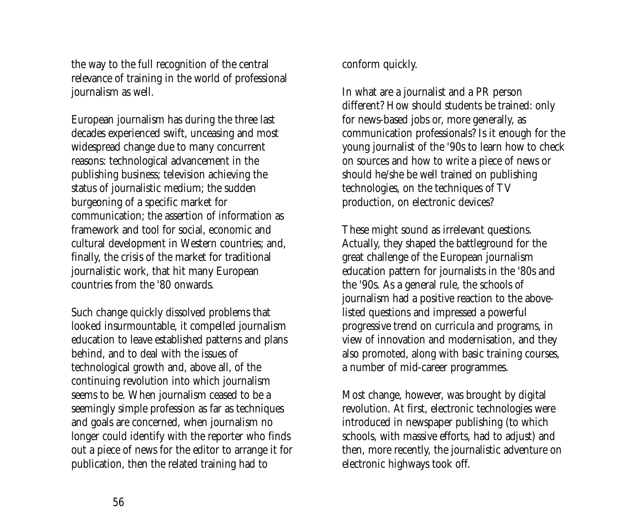the way to the full recognition of the central relevance of training in the world of professional journalism as well.

European journalism has during the three last decades experienced swift, unceasing and most widespread change due to many concurrent reasons: technological advancement in the publishing business; television achieving the status of journalistic medium; the sudden burgeoning of a specific market for communication; the assertion of information as framework and tool for social, economic and cultural development in Western countries; and, finally, the crisis of the market for traditional journalistic work, that hit many European countries from the '80 onwards.

Such change quickly dissolved problems that looked insurmountable, it compelled journalism education to leave established patterns and plans behind, and to deal with the issues of technological growth and, above all, of the continuing revolution into which journalism seems to be. When journalism ceased to be a seemingly simple profession as far as techniques and goals are concerned, when journalism no longer could identify with the reporter who finds out a piece of news for the editor to arrange it for publication, then the related training had to

conform quickly.

In what are a journalist and a PR person different? How should students be trained: only for news-based jobs or, more generally, as communication professionals? Is it enough for the young journalist of the '90s to learn how to check on sources and how to write a piece of news or should he/she be well trained on publishing technologies, on the techniques of TV production, on electronic devices?

These might sound as irrelevant questions. Actually, they shaped the battleground for the great challenge of the European journalism education pattern for journalists in the '80s and the '90s. As a general rule, the schools of journalism had a positive reaction to the abovelisted questions and impressed a powerful progressive trend on curricula and programs, in view of innovation and modernisation, and they also promoted, along with basic training courses, a number of mid-career programmes.

Most change, however, was brought by digital revolution. At first, electronic technologies were introduced in newspaper publishing (to which schools, with massive efforts, had to adjust) and then, more recently, the journalistic adventure on electronic highways took off.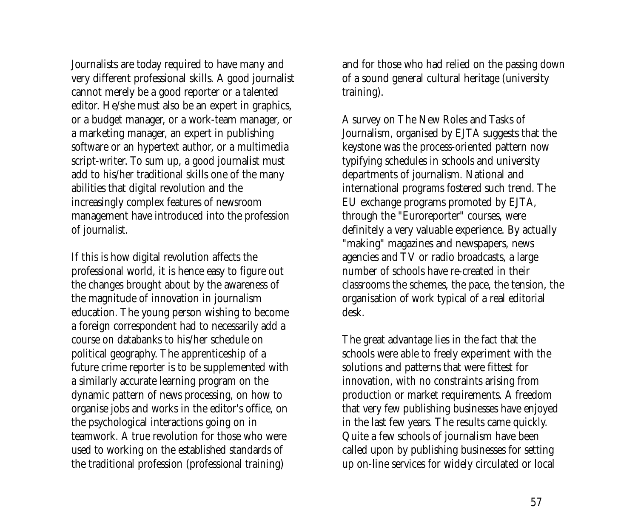Journalists are today required to have many and very different professional skills. A good journalist cannot merely be a good reporter or a talented editor. He/she must also be an expert in graphics, or a budget manager, or a work-team manager, or a marketing manager, an expert in publishing software or an hypertext author, or a multimedia script-writer. To sum up, a good journalist must add to his/her traditional skills one of the many abilities that digital revolution and the increasingly complex features of newsroom management have introduced into the profession of journalist.

If this is how digital revolution affects the professional world, it is hence easy to figure out the changes brought about by the awareness of the magnitude of innovation in journalism education. The young person wishing to become a foreign correspondent had to necessarily add a course on databanks to his/her schedule on political geography. The apprenticeship of a future crime reporter is to be supplemented with a similarly accurate learning program on the dynamic pattern of news processing, on how to organise jobs and works in the editor's office, on the psychological interactions going on in teamwork. A true revolution for those who were used to working on the established standards of the traditional profession (professional training)

and for those who had relied on the passing down of a sound general cultural heritage (university training).

A survey on The New Roles and Tasks of Journalism, organised by EJTA suggests that the keystone was the process-oriented pattern now typifying schedules in schools and university departments of journalism. National and international programs fostered such trend. The EU exchange programs promoted by EJTA, through the "Euroreporter" courses, were definitely a very valuable experience. By actually "making" magazines and newspapers, news agencies and TV or radio broadcasts, a large number of schools have re-created in their classrooms the schemes, the pace, the tension, the organisation of work typical of a real editorial desk.

The great advantage lies in the fact that the schools were able to freely experiment with the solutions and patterns that were fittest for innovation, with no constraints arising from production or market requirements. A freedom that very few publishing businesses have enjoyed in the last few years. The results came quickly. Quite a few schools of journalism have been called upon by publishing businesses for setting up on-line services for widely circulated or local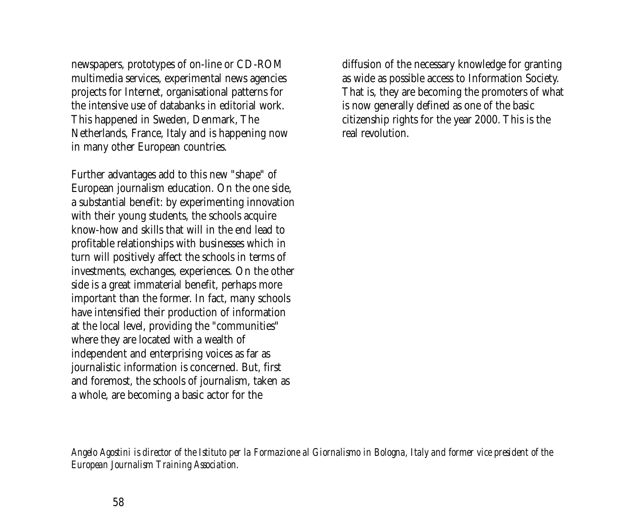newspapers, prototypes of on-line or CD-ROM multimedia services, experimental news agencies projects for Internet, organisational patterns for the intensive use of databanks in editorial work. This happened in Sweden, Denmark, The Netherlands, France, Italy and is happening now in many other European countries.

Further advantages add to this new "shape" of European journalism education. On the one side, a substantial benefit: by experimenting innovation with their young students, the schools acquire know-how and skills that will in the end lead to profitable relationships with businesses which in turn will positively affect the schools in terms of investments, exchanges, experiences. On the other side is a great immaterial benefit, perhaps more important than the former. In fact, many schools have intensified their production of information at the local level, providing the "communities" where they are located with a wealth of independent and enterprising voices as far as journalistic information is concerned. But, first and foremost, the schools of journalism, taken as a whole, are becoming a basic actor for the

diffusion of the necessary knowledge for granting as wide as possible access to Information Society. That is, they are becoming the promoters of what is now generally defined as one of the basic citizenship rights for the year 2000. This is the real revolution.

*Angelo Agostini is director of the Istituto per la Formazione al Giornalismo in Bologna, Italy and former vice president of the European Journalism Training Association.*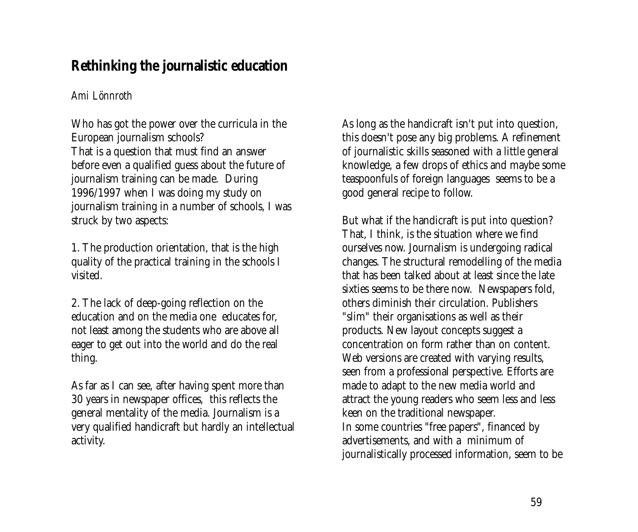# <span id="page-58-0"></span>**Rethinking the journalistic education**

### *Ami Lönnroth*

Who has got the power over the curricula in the European journalism schools? That is a question that must find an answer before even a qualified guess about the future of journalism training can be made. During 1996/1997 when I was doing my study on journalism training in a number of schools, I was struck by two aspects:

1. The production orientation, that is the high quality of the practical training in the schools I visited.

2. The lack of deep-going reflection on the education and on the media one educates for, not least among the students who are above all eager to get out into the world and do the real thing.

As far as I can see, after having spent more than 30 years in newspaper offices, this reflects the general mentality of the media. Journalism is a very qualified handicraft but hardly an intellectual activity.

As long as the handicraft isn't put into question, this doesn't pose any big problems. A refinement of journalistic skills seasoned with a little general knowledge, a few drops of ethics and maybe some teaspoonfuls of foreign languages seems to be a good general recipe to follow.

But what if the handicraft is put into question? That, I think, is the situation where we find ourselves now. Journalism is undergoing radical changes. The structural remodelling of the media that has been talked about at least since the late sixties seems to be there now. Newspapers fold, others diminish their circulation. Publishers "slim" their organisations as well as their products. New layout concepts suggest a concentration on form rather than on content. Web versions are created with varying results, seen from a professional perspective. Efforts are made to adapt to the new media world and attract the young readers who seem less and less keen on the traditional newspaper. In some countries "free papers", financed by advertisements, and with a minimum of journalistically processed information, seem to be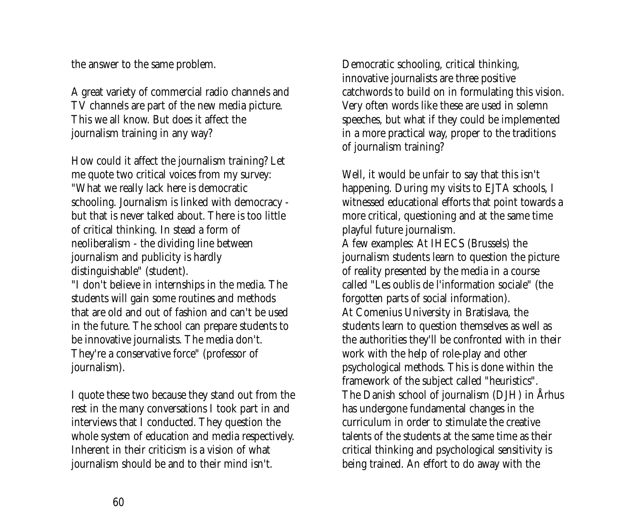the answer to the same problem.

A great variety of commercial radio channels and TV channels are part of the new media picture. This we all know. But does it affect the journalism training in any way?

How could it affect the journalism training? Let me quote two critical voices from my survey: "What we really lack here is democratic schooling. Journalism is linked with democracy but that is never talked about. There is too little of critical thinking. In stead a form of neoliberalism - the dividing line between journalism and publicity is hardly distinguishable" (student).

"I don't believe in internships in the media. The students will gain some routines and methods that are old and out of fashion and can't be used in the future. The school can prepare students to be innovative journalists. The media don't. They're a conservative force" (professor of journalism).

I quote these two because they stand out from the rest in the many conversations I took part in and interviews that I conducted. They question the whole system of education and media respectively. Inherent in their criticism is a vision of what journalism should be and to their mind isn't.

Democratic schooling, critical thinking, innovative journalists are three positive catchwords to build on in formulating this vision. Very often words like these are used in solemn speeches, but what if they could be implemented in a more practical way, proper to the traditions of journalism training?

Well, it would be unfair to say that this isn't happening. During my visits to EJTA schools, I witnessed educational efforts that point towards a more critical, questioning and at the same time playful future journalism. A few examples: At IHECS (Brussels) the journalism students learn to question the picture of reality presented by the media in a course called "Les oublis de l'information sociale" (the forgotten parts of social information). At Comenius University in Bratislava, the students learn to question themselves as well as the authorities they'll be confronted with in their work with the help of role-play and other psychological methods. This is done within the framework of the subject called "heuristics". The Danish school of journalism (DJH) in Århus has undergone fundamental changes in the curriculum in order to stimulate the creative talents of the students at the same time as their critical thinking and psychological sensitivity is being trained. An effort to do away with the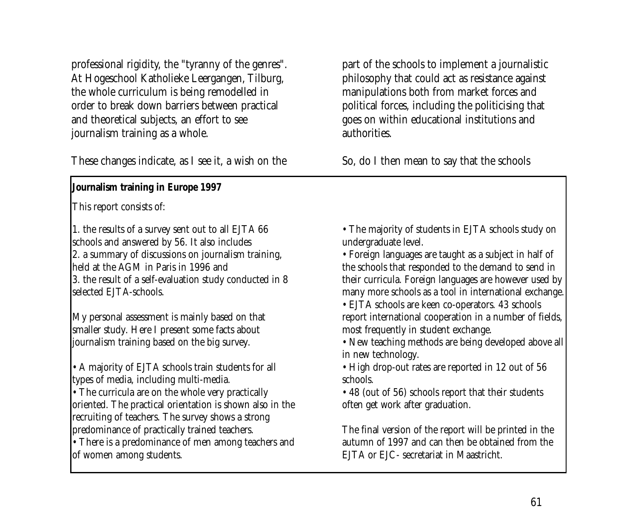professional rigidity, the "tyranny of the genres". At Hogeschool Katholieke Leergangen, Tilburg, the whole curriculum is being remodelled in order to break down barriers between practical and theoretical subjects, an effort to see journalism training as a whole.

These changes indicate, as I see it, a wish on the

**Journalism training in Europe 1997**

This report consists of:

1. the results of a survey sent out to all EJTA 66 schools and answered by 56. It also includes 2. a summary of discussions on journalism training, held at the AGM in Paris in 1996 and 3. the result of a self-evaluation study conducted in 8 selected EJTA-schools.

My personal assessment is mainly based on that smaller study. Here I present some facts about journalism training based on the big survey.

• A majority of EJTA schools train students for all types of media, including multi-media.

• The curricula are on the whole very practically oriented. The practical orientation is shown also in the recruiting of teachers. The survey shows a strong predominance of practically trained teachers.

• There is a predominance of men among teachers and of women among students.

part of the schools to implement a journalistic philosophy that could act as resistance against manipulations both from market forces and political forces, including the politicising that goes on within educational institutions and authorities.

So, do I then mean to say that the schools

- The majority of students in EJTA schools study on undergraduate level.
- Foreign languages are taught as a subject in half of the schools that responded to the demand to send in their curricula. Foreign languages are however used by many more schools as a tool in international exchange.
- EJTA schools are keen co-operators. 43 schools report international cooperation in a number of fields, most frequently in student exchange.

• New teaching methods are being developed above all in new technology.

• High drop-out rates are reported in 12 out of 56 schools.

• 48 (out of 56) schools report that their students often get work after graduation.

The final version of the report will be printed in the autumn of 1997 and can then be obtained from the EJTA or EJC- secretariat in Maastricht.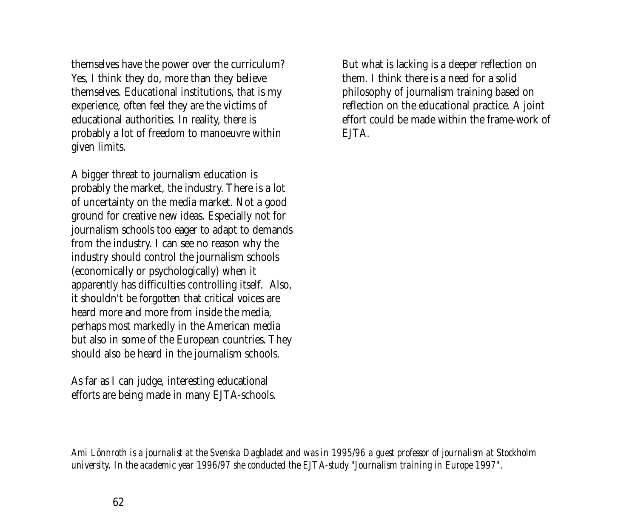themselves have the power over the curriculum? Yes, I think they do, more than they believe themselves. Educational institutions, that is my experience, often feel they are the victims of educational authorities. In reality, there is probably a lot of freedom to manoeuvre within given limits.

A bigger threat to journalism education is probably the market, the industry. There is a lot of uncertainty on the media market. Not a good ground for creative new ideas. Especially not for journalism schools too eager to adapt to demands from the industry. I can see no reason why the industry should control the journalism schools (economically or psychologically) when it apparently has difficulties controlling itself. Also, it shouldn't be forgotten that critical voices are heard more and more from inside the media, perhaps most markedly in the American media but also in some of the European countries. They should also be heard in the journalism schools.

As far as I can judge, interesting educational efforts are being made in many EJTA-schools. But what is lacking is a deeper reflection on them. I think there is a need for a solid philosophy of journalism training based on reflection on the educational practice. A joint effort could be made within the frame-work of **FITA** 

*Ami Lönnroth is a journalist at the Svenska Dagbladet and was in 1995/96 a guest professor of journalism at Stockholm university. In the academic year 1996/97 she conducted the EJTA-study "Journalism training in Europe 1997".*